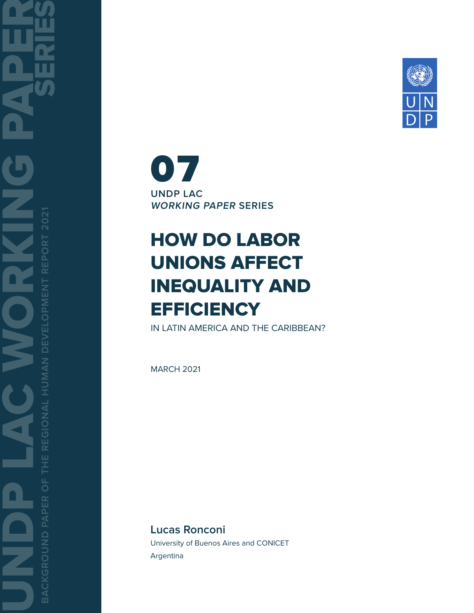

**UNDP LAC WORKING PAPER SERIES** 07

# HOW DO LABOR UNIONS AFFECT INEQUALITY AND **EFFICIENCY**

IN LATIN AMERICA AND THE CARIBBEAN?

MARCH 2021

**Lucas Ronconi** University of Buenos Aires and CONICET Argentina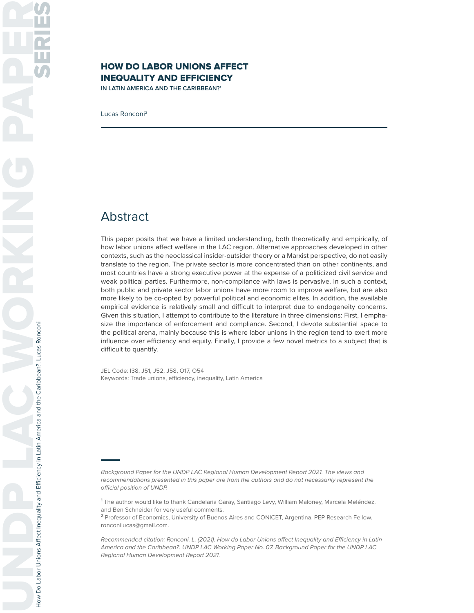### HOW DO LABOR UNIONS AFFECT INEQUALITY AND EFFICIENCY

**IN LATIN AMERICA AND THE CARIBBEAN?1**

Lucas Ronconi2

### Abstract

This paper posits that we have a limited understanding, both theoretically and empirically, of how labor unions affect welfare in the LAC region. Alternative approaches developed in other contexts, such as the neoclassical insider-outsider theory or a Marxist perspective, do not easily translate to the region. The private sector is more concentrated than on other continents, and most countries have a strong executive power at the expense of a politicized civil service and weak political parties. Furthermore, non-compliance with laws is pervasive. In such a context, both public and private sector labor unions have more room to improve welfare, but are also more likely to be co-opted by powerful political and economic elites. In addition, the available empirical evidence is relatively small and difficult to interpret due to endogeneity concerns. Given this situation, I attempt to contribute to the literature in three dimensions: First, I emphasize the importance of enforcement and compliance. Second, I devote substantial space to the political arena, mainly because this is where labor unions in the region tend to exert more influence over efficiency and equity. Finally, I provide a few novel metrics to a subject that is difficult to quantify.

JEL Code: I38, J51, J52, J58, O17, O54 Keywords: Trade unions, efficiency, inequality, Latin America

Background Paper for the UNDP LAC Regional Human Development Report 2021. The views and recommendations presented in this paper are from the authors and do not necessarily represent the official position of UNDP.

**<sup>1</sup>**The author would like to thank Candelaria Garay, Santiago Levy, William Maloney, Marcela Meléndez, and Ben Schneider for very useful comments.

**<sup>2</sup>**Professor of Economics, University of Buenos Aires and CONICET, Argentina, PEP Research Fellow. ronconilucas@gmail.com.

Recommended citation: Ronconi, L. (2021). How do Labor Unions affect Inequality and Efficiency in Latin America and the Caribbean?. UNDP LAC Working Paper No. 07. Background Paper for the UNDP LAC Regional Human Development Report 2021.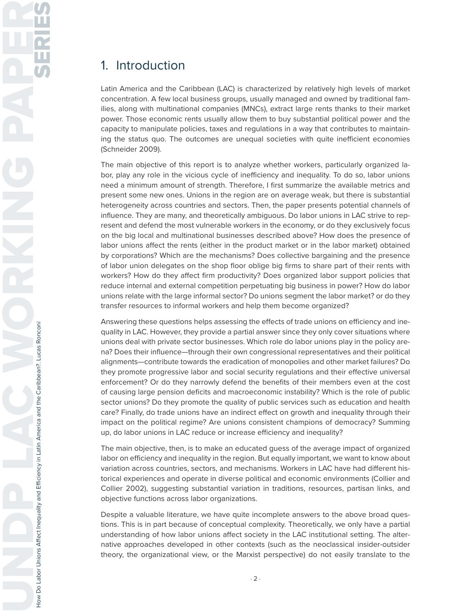## 1. Introduction

Latin America and the Caribbean (LAC) is characterized by relatively high levels of market concentration. A few local business groups, usually managed and owned by traditional families, along with multinational companies (MNCs), extract large rents thanks to their market power. Those economic rents usually allow them to buy substantial political power and the capacity to manipulate policies, taxes and regulations in a way that contributes to maintaining the status quo. The outcomes are unequal societies with quite inefficient economies (Schneider 2009).

The main objective of this report is to analyze whether workers, particularly organized labor, play any role in the vicious cycle of inefficiency and inequality. To do so, labor unions need a minimum amount of strength. Therefore, I first summarize the available metrics and present some new ones. Unions in the region are on average weak, but there is substantial heterogeneity across countries and sectors. Then, the paper presents potential channels of influence. They are many, and theoretically ambiguous. Do labor unions in LAC strive to represent and defend the most vulnerable workers in the economy, or do they exclusively focus on the big local and multinational businesses described above? How does the presence of labor unions affect the rents (either in the product market or in the labor market) obtained by corporations? Which are the mechanisms? Does collective bargaining and the presence of labor union delegates on the shop floor oblige big firms to share part of their rents with workers? How do they affect firm productivity? Does organized labor support policies that reduce internal and external competition perpetuating big business in power? How do labor unions relate with the large informal sector? Do unions segment the labor market? or do they transfer resources to informal workers and help them become organized?

Answering these questions helps assessing the effects of trade unions on efficiency and inequality in LAC. However, they provide a partial answer since they only cover situations where unions deal with private sector businesses. Which role do labor unions play in the policy arena? Does their influence—through their own congressional representatives and their political alignments—contribute towards the eradication of monopolies and other market failures? Do they promote progressive labor and social security regulations and their effective universal enforcement? Or do they narrowly defend the benefits of their members even at the cost of causing large pension deficits and macroeconomic instability? Which is the role of public sector unions? Do they promote the quality of public services such as education and health care? Finally, do trade unions have an indirect effect on growth and inequality through their impact on the political regime? Are unions consistent champions of democracy? Summing up, do labor unions in LAC reduce or increase efficiency and inequality?

The main objective, then, is to make an educated guess of the average impact of organized labor on efficiency and inequality in the region. But equally important, we want to know about variation across countries, sectors, and mechanisms. Workers in LAC have had different historical experiences and operate in diverse political and economic environments (Collier and Collier 2002), suggesting substantial variation in traditions, resources, partisan links, and objective functions across labor organizations.

Despite a valuable literature, we have quite incomplete answers to the above broad questions. This is in part because of conceptual complexity. Theoretically, we only have a partial understanding of how labor unions affect society in the LAC institutional setting. The alternative approaches developed in other contexts (such as the neoclassical insider-outsider theory, the organizational view, or the Marxist perspective) do not easily translate to the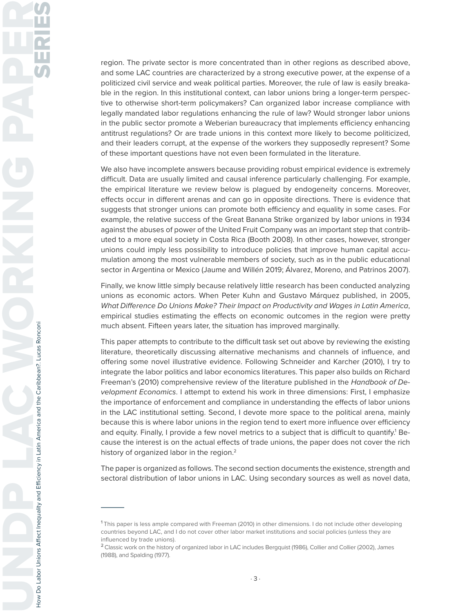region. The private sector is more concentrated than in other regions as described above, and some LAC countries are characterized by a strong executive power, at the expense of a politicized civil service and weak political parties. Moreover, the rule of law is easily breakable in the region. In this institutional context, can labor unions bring a longer-term perspective to otherwise short-term policymakers? Can organized labor increase compliance with legally mandated labor regulations enhancing the rule of law? Would stronger labor unions in the public sector promote a Weberian bureaucracy that implements efficiency enhancing antitrust regulations? Or are trade unions in this context more likely to become politicized, and their leaders corrupt, at the expense of the workers they supposedly represent? Some of these important questions have not even been formulated in the literature.

We also have incomplete answers because providing robust empirical evidence is extremely difficult. Data are usually limited and causal inference particularly challenging. For example, the empirical literature we review below is plagued by endogeneity concerns. Moreover, effects occur in different arenas and can go in opposite directions. There is evidence that suggests that stronger unions can promote both efficiency and equality in some cases. For example, the relative success of the Great Banana Strike organized by labor unions in 1934 against the abuses of power of the United Fruit Company was an important step that contributed to a more equal society in Costa Rica (Booth 2008). In other cases, however, stronger unions could imply less possibility to introduce policies that improve human capital accumulation among the most vulnerable members of society, such as in the public educational sector in Argentina or Mexico (Jaume and Willén 2019; Álvarez, Moreno, and Patrinos 2007).

Finally, we know little simply because relatively little research has been conducted analyzing unions as economic actors. When Peter Kuhn and Gustavo Márquez published, in 2005, What Difference Do Unions Make? Their Impact on Productivity and Wages in Latin America, empirical studies estimating the effects on economic outcomes in the region were pretty much absent. Fifteen years later, the situation has improved marginally.

This paper attempts to contribute to the difficult task set out above by reviewing the existing literature, theoretically discussing alternative mechanisms and channels of influence, and offering some novel illustrative evidence. Following Schneider and Karcher (2010), I try to integrate the labor politics and labor economics literatures. This paper also builds on Richard Freeman's (2010) comprehensive review of the literature published in the Handbook of Development Economics. I attempt to extend his work in three dimensions: First, I emphasize the importance of enforcement and compliance in understanding the effects of labor unions in the LAC institutional setting. Second, I devote more space to the political arena, mainly because this is where labor unions in the region tend to exert more influence over efficiency and equity. Finally, I provide a few novel metrics to a subject that is difficult to quantify.<sup>1</sup> Because the interest is on the actual effects of trade unions, the paper does not cover the rich history of organized labor in the region.<sup>2</sup>

The paper is organized as follows. The second section documents the existence, strength and sectoral distribution of labor unions in LAC. Using secondary sources as well as novel data,

**<sup>1</sup>**This paper is less ample compared with Freeman (2010) in other dimensions. I do not include other developing countries beyond LAC, and I do not cover other labor market institutions and social policies (unless they are influenced by trade unions).

**<sup>2</sup>**Classic work on the history of organized labor in LAC includes Bergquist (1986), Collier and Collier (2002), James (1988), and Spalding (1977).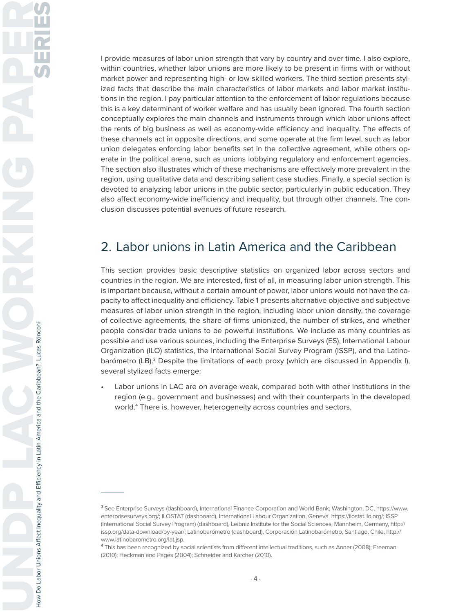I provide measures of labor union strength that vary by country and over time. I also explore, within countries, whether labor unions are more likely to be present in firms with or without market power and representing high- or low-skilled workers. The third section presents stylized facts that describe the main characteristics of labor markets and labor market institutions in the region. I pay particular attention to the enforcement of labor regulations because this is a key determinant of worker welfare and has usually been ignored. The fourth section conceptually explores the main channels and instruments through which labor unions affect the rents of big business as well as economy-wide efficiency and inequality. The effects of these channels act in opposite directions, and some operate at the firm level, such as labor union delegates enforcing labor benefits set in the collective agreement, while others operate in the political arena, such as unions lobbying regulatory and enforcement agencies. The section also illustrates which of these mechanisms are effectively more prevalent in the region, using qualitative data and describing salient case studies. Finally, a special section is devoted to analyzing labor unions in the public sector, particularly in public education. They also affect economy-wide inefficiency and inequality, but through other channels. The conclusion discusses potential avenues of future research.

# 2. Labor unions in Latin America and the Caribbean

This section provides basic descriptive statistics on organized labor across sectors and countries in the region. We are interested, first of all, in measuring labor union strength. This is important because, without a certain amount of power, labor unions would not have the capacity to affect inequality and efficiency. Table 1 presents alternative objective and subjective measures of labor union strength in the region, including labor union density, the coverage of collective agreements, the share of firms unionized, the number of strikes, and whether people consider trade unions to be powerful institutions. We include as many countries as possible and use various sources, including the Enterprise Surveys (ES), International Labour Organization (ILO) statistics, the International Social Survey Program (ISSP), and the Latinobarómetro (LB).<sup>3</sup> Despite the limitations of each proxy (which are discussed in Appendix I), several stylized facts emerge:

Labor unions in LAC are on average weak, compared both with other institutions in the region (e.g., government and businesses) and with their counterparts in the developed world.4 There is, however, heterogeneity across countries and sectors.

**<sup>3</sup>**See Enterprise Surveys (dashboard), International Finance Corporation and World Bank, Washington, DC, https://www. enterprisesurveys.org/; ILOSTAT (dashboard), International Labour Organization, Geneva, https://ilostat.ilo.org/; ISSP (International Social Survey Program) (dashboard), Leibniz Institute for the Social Sciences, Mannheim, Germany, http:// issp.org/data-download/by-year/; Latinobarómetro (dashboard), Corporación Latinobarómetro, Santiago, Chile, http:// www.latinobarometro.org/lat.jsp.

**<sup>4</sup>**This has been recognized by social scientists from different intellectual traditions, such as Anner (2008); Freeman (2010); Heckman and Pagés (2004); Schneider and Karcher (2010).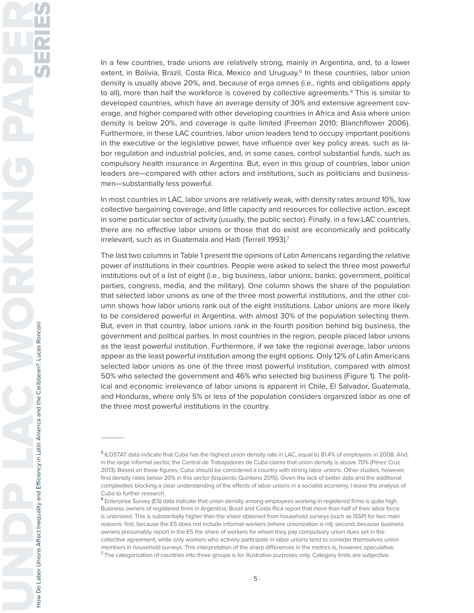In a few countries, trade unions are relatively strong, mainly in Argentina, and, to a lower extent, in Bolivia, Brazil, Costa Rica, Mexico and Uruguay.<sup>5</sup> In these countries, labor union density is usually above 20%, and, because of erga omnes (i.e., rights and obligations apply to all), more than half the workforce is covered by collective agreements.<sup>6</sup> This is similar to developed countries, which have an average density of 30% and extensive agreement coverage, and higher compared with other developing countries in Africa and Asia where union density is below 20%, and coverage is quite limited (Freeman 2010; Blanchflower 2006). Furthermore, in these LAC countries, labor union leaders tend to occupy important positions in the executive or the legislative power, have influence over key policy areas. such as labor regulation and industrial policies, and, in some cases, control substantial funds, such as compulsory health insurance in Argentina. But, even in this group of countries, labor union leaders are—compared with other actors and institutions, such as politicians and businessmen—substantially less powerful.

In most countries in LAC, labor unions are relatively weak, with density rates around 10%, low collective bargaining coverage, and little capacity and resources for collective action, except in some particular sector of activity (usually, the public sector). Finally, in a few LAC countries, there are no effective labor unions or those that do exist are economically and politically irrelevant, such as in Guatemala and Haiti (Terrell 1993).<sup>7</sup>

The last two columns in Table 1 present the opinions of Latin Americans regarding the relative power of institutions in their countries. People were asked to select the three most powerful institutions out of a list of eight (i.e., big business, labor unions, banks, government, political parties, congress, media, and the military). One column shows the share of the population that selected labor unions as one of the three most powerful institutions, and the other column shows how labor unions rank out of the eight institutions. Labor unions are more likely to be considered powerful in Argentina, with almost 30% of the population selecting them. But, even in that country, labor unions rank in the fourth position behind big business, the government and political parties. In most countries in the region, people placed labor unions as the least powerful institution. Furthermore, if we take the regional average, labor unions appear as the least powerful institution among the eight options. Only 12% of Latin Americans selected labor unions as one of the three most powerful institution, compared with almost 50% who selected the government and 46% who selected big business (Figure 1). The political and economic irrelevance of labor unions is apparent in Chile, El Salvador, Guatemala, and Honduras, where only 5% or less of the population considers organized labor as one of the three most powerful institutions in the country.

**<sup>5</sup>**ILOSTAT data indicate that Cuba has the highest union density rate in LAC, equal to 81.4% of employees in 2008. And, in the large informal sector, the Central de Trabajadores de Cuba claims that union density is above 70% (Pérez Cruz 2013). Based on these figures, Cuba should be considered a country with strong labor unions. Other studies, however, find density rates below 20% in this sector (Izquierdo Quintana 2015). Given the lack of better data and the additional complexities blocking a clear understanding of the effects of labor unions in a socialist economy, I leave the analysis of Cuba to further research.

**<sup>6</sup>**Enterprise Survey (ES) data indicate that union density among employees working in registered firms is quite high. Business owners of registered firms in Argentina, Brazil and Costa Rica report that more than half of their labor force is unionized. This is substantially higher than the share obtained from household surveys (such as ISSP) for two main reasons: first, because the ES does not include informal workers (where unionization is nil); second, because business owners presumably report in the ES the share of workers for whom they pay compulsory union dues set in the collective agreement, while only workers who actively participate in labor unions tend to consider themselves union members in household surveys. This interpretation of the sharp differences in the metrics is, however, speculative. **<sup>7</sup>**The categorization of countries into three groups is for illustrative purposes only. Category limits are subjective.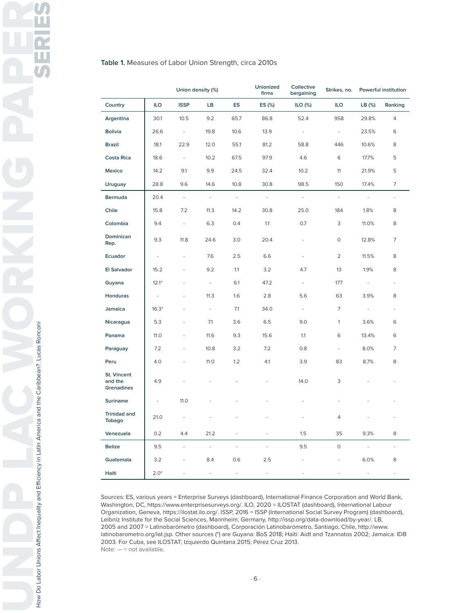#### **Table 1.** Measures of Labor Union Strength, circa 2010s

|                                             | Union density (%)        |                          | Unionized<br>firms       | Collective<br>bargaining | Strikes, no.             | Powerful institution     |                          |                             |                          |
|---------------------------------------------|--------------------------|--------------------------|--------------------------|--------------------------|--------------------------|--------------------------|--------------------------|-----------------------------|--------------------------|
| Country                                     | ILO                      | <b>ISSP</b>              | LB                       | ES                       | ES (%)                   | ILO $(%)$                | <b>ILO</b>               | LB (%)                      | Ranking                  |
| Argentina                                   | 30.1                     | 10.5                     | 9.2                      | 65.7                     | 86.8                     | 52.4                     | 958                      | 29.8%                       | 4                        |
| <b>Bolivia</b>                              | 26.6                     | $\overline{\phantom{a}}$ | 19.8                     | 10.6                     | 13.9                     | $\overline{\phantom{a}}$ | $\blacksquare$           | 23.5%                       | 6                        |
| <b>Brazil</b>                               | 18.1                     | 22.9                     | 12.0                     | 55.1                     | 81.2                     | 58.8                     | 446                      | 10.6%                       | 8                        |
| <b>Costa Rica</b>                           | 18.6                     | $\bar{\phantom{a}}$      | 10.2                     | 67.5                     | 97.9                     | 4.6                      | 6                        | 17.7%                       | 5                        |
| Mexico                                      | 14.2                     | 9.1                      | 9.9                      | 24.5                     | 32.4                     | 10.2                     | 11                       | 21.9%                       | 5                        |
| <b>Uruguay</b>                              | 28.8                     | 9.6                      | 14.6                     | 10.8                     | 30.8                     | 98.5                     | 150                      | 17.4%                       | 7                        |
| Bermuda                                     | 20.4                     | $\Box$                   | $\Box$                   | $\bar{\gamma}$           | $\bar{\phantom{a}}$      | $\overline{\phantom{a}}$ | $\overline{\phantom{a}}$ | $\mathcal{L}_{\mathcal{A}}$ | $\overline{\phantom{a}}$ |
| Chile                                       | 15.8                     | 7.2                      | 11.3                     | 14.2                     | 30.8                     | 25.0                     | 184                      | 1.8%                        | 8                        |
| Colombia                                    | 9.4                      | $\overline{\phantom{a}}$ | 6.3                      | 0.4                      | 1.1                      | 0.7                      | 3                        | 11.0%                       | 8                        |
| Dominican<br>Rep.                           | 9.3                      | 11.8                     | 24.6                     | 3.0                      | 20.4                     | $\frac{1}{2}$            | $\mathsf O$              | 12.8%                       | 7                        |
| Ecuador                                     | $\overline{\phantom{a}}$ |                          | 7.6                      | 2.5                      | 6.6                      |                          | $\overline{2}$           | 11.5%                       | 8                        |
| El Salvador                                 | 15.2                     |                          | 9.2                      | 1.1                      | 3.2                      | 4.7                      | 13                       | 1.9%                        | 8                        |
| Guyana                                      | $12.1*$                  |                          | $\overline{\phantom{a}}$ | 6.1                      | 47.2                     | $\overline{\phantom{a}}$ | 177                      | $\frac{1}{2}$               | $\overline{\phantom{a}}$ |
| Honduras                                    | $\frac{1}{2}$            |                          | 11.3                     | 1.6                      | 2.8                      | 5.6                      | 63                       | 3.9%                        | 8                        |
| Jamaica                                     | $16.3*$                  |                          | $\overline{\phantom{a}}$ | 7.1                      | 34.0                     | $\overline{\phantom{a}}$ | $\overline{7}$           | ÷                           | $\overline{a}$           |
| Nicaragua                                   | 5.3                      |                          | 7.1                      | 3.6                      | 6.5                      | 9.0                      | $\mathbf{1}$             | 3.6%                        | 6                        |
| Panama                                      | 11.0                     |                          | 11.6                     | 9.3                      | 15.6                     | 1.1                      | 6                        | 13.4%                       | 6                        |
| Paraguay                                    | 7.2                      |                          | 10.8                     | 3.2                      | 7.2                      | 0.8                      | $\frac{1}{2}$            | 8.0%                        | 7                        |
| Peru                                        | 4.0                      |                          | 11.0                     | 1.2                      | 4.1                      | 3.9                      | 83                       | 8.7%                        | 8                        |
| St. Vincent<br>and the<br><b>Grenadines</b> | 4.9                      |                          |                          |                          |                          | 14.0                     | 3                        |                             |                          |
| Suriname                                    | ä,                       | 11.0                     |                          |                          |                          |                          |                          |                             |                          |
| <b>Trinidad and</b><br>Tobago               | 21.0                     | ÷,                       |                          |                          |                          |                          | 4                        |                             |                          |
| Venezuela                                   | 0.2                      | 4.4                      | 21.2                     | $\overline{\phantom{a}}$ | $\overline{\phantom{a}}$ | 1.5                      | 35                       | 9.3%                        | 8                        |
| <b>Belize</b>                               | 9.5                      | $\frac{1}{2}$            | ÷                        | $\frac{1}{2}$            | $\overline{\phantom{a}}$ | 9.5                      | $\circ$                  | ÷,                          |                          |
| Guatemala                                   | 3.2                      |                          | 8.4                      | 0.6                      | 2.5                      | ÷,                       | $\overline{a}$           | 6.0%                        | 8                        |
| Haiti                                       | $2.0*$                   | $\overline{a}$           | $\overline{a}$           | ÷,                       | $\frac{1}{2}$            | $\overline{a}$           | $\overline{a}$           | $\overline{a}$              | $\overline{\phantom{0}}$ |

Sources: ES, various years = Enterprise Surveys (dashboard), International Finance Corporation and World Bank, Washington, DC, https://www.enterprisesurveys.org/. ILO, 2020 = ILOSTAT (dashboard), International Labour Organization, Geneva, https://ilostat.ilo.org/. ISSP, 2016 = ISSP (International Social Survey Program) (dashboard), Leibniz Institute for the Social Sciences, Mannheim, Germany, http://issp.org/data-download/by-year/. LB, 2005 and 2007 = Latinobarómetro (dashboard), Corporación Latinobarómetro, Santiago, Chile, http://www. latinobarometro.org/lat.jsp. Other sources (\*) are Guyana: BoS 2018; Haiti: Aidt and Tzannatos 2002; Jamaica: IDB 2003. For Cuba, see ILOSTAT; Izquierdo Quintana 2015; Pérez Cruz 2013. Note: — = not available.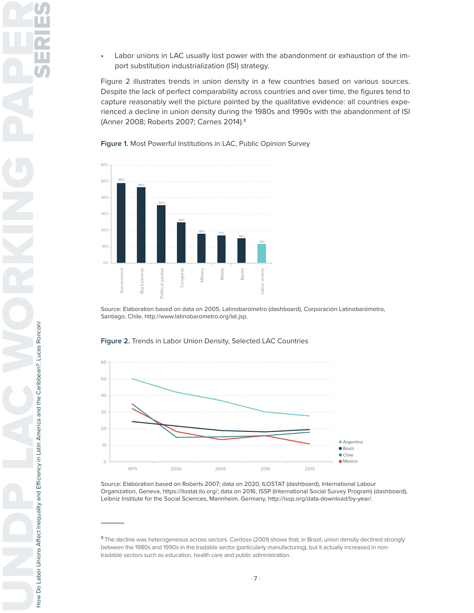Labor unions in LAC usually lost power with the abandonment or exhaustion of the import substitution industrialization (ISI) strategy.

Figure 2 illustrates trends in union density in a few countries based on various sources. Despite the lack of perfect comparability across countries and over time, the figures tend to capture reasonably well the picture painted by the qualitative evidence: all countries experienced a decline in union density during the 1980s and 1990s with the abandonment of ISI (Anner 2008; Roberts 2007; Carnes 2014).8

**Figure 1.** Most Powerful Institutions in LAC, Public Opinion Survey



Source: Elaboration based on data on 2005, Latinobarómetro (dashboard), Corporación Latinobarómetro, Santiago, Chile, http://www.latinobarometro.org/lat.jsp.



**Figure 2.** Trends in Labor Union Density, Selected LAC Countries

Source: Elaboration based on Roberts 2007; data on 2020, ILOSTAT (dashboard), International Labour Organization, Geneva, https://ilostat.ilo.org/; data on 2016, ISSP (International Social Survey Program) (dashboard), Leibniz Institute for the Social Sciences, Mannheim, Germany, http://issp.org/data-download/by-year/.

**<sup>8</sup>**The decline was heterogeneous across sectors. Cardoso (2001) shows that, in Brazil, union density declined strongly between the 1980s and 1990s in the tradable sector (particularly manufacturing), but it actually increased in nontradable sectors such as education, health care and public administration.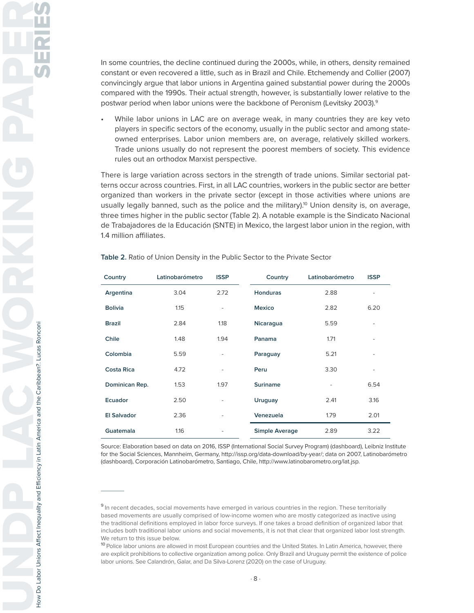In some countries, the decline continued during the 2000s, while, in others, density remained constant or even recovered a little, such as in Brazil and Chile. Etchemendy and Collier (2007) convincingly argue that labor unions in Argentina gained substantial power during the 2000s compared with the 1990s. Their actual strength, however, is substantially lower relative to the postwar period when labor unions were the backbone of Peronism (Levitsky 2003).<sup>9</sup>

While labor unions in LAC are on average weak, in many countries they are key veto players in specific sectors of the economy, usually in the public sector and among stateowned enterprises. Labor union members are, on average, relatively skilled workers. Trade unions usually do not represent the poorest members of society. This evidence rules out an orthodox Marxist perspective.

There is large variation across sectors in the strength of trade unions. Similar sectorial patterns occur across countries. First, in all LAC countries, workers in the public sector are better organized than workers in the private sector (except in those activities where unions are usually legally banned, such as the police and the military).<sup>10</sup> Union density is, on average, three times higher in the public sector (Table 2). A notable example is the Sindicato Nacional de Trabajadores de la Educación (SNTE) in Mexico, the largest labor union in the region, with 1.4 million affiliates.

| Country            | Latinobarómetro | <b>ISSP</b>              | Country         | Latinobarómetro          | <b>ISSP</b>              |
|--------------------|-----------------|--------------------------|-----------------|--------------------------|--------------------------|
| Argentina          | 3.04            | 2.72                     | <b>Honduras</b> | 2.88                     | ۰                        |
| <b>Bolivia</b>     | 1.15            | $\overline{\phantom{0}}$ | <b>Mexico</b>   | 2.82                     | 6.20                     |
| <b>Brazil</b>      | 2.84            | 1.18                     | Nicaragua       | 5.59                     | ۰                        |
| Chile              | 1.48            | 1.94                     | Panama          | 1.71                     | ٠                        |
| Colombia           | 5.59            | $\overline{\phantom{0}}$ | Paraguay        | 5.21                     | $\overline{\phantom{a}}$ |
| <b>Costa Rica</b>  | 4.72            | $\overline{\phantom{0}}$ | Peru            | 3.30                     | ۰                        |
| Dominican Rep.     | 1.53            | 1.97                     | <b>Suriname</b> | $\overline{\phantom{a}}$ | 6.54                     |
| Ecuador            | 2.50            | $\overline{\phantom{0}}$ | Uruguay         | 2.41                     | 3.16                     |
| <b>El Salvador</b> | 2.36            | ٠                        | Venezuela       | 1.79                     | 2.01                     |
| Guatemala          | 1.16            | ۰                        | Simple Average  | 2.89                     | 3.22                     |

**Table 2.** Ratio of Union Density in the Public Sector to the Private Sector

Source: Elaboration based on data on 2016, ISSP (International Social Survey Program) (dashboard), Leibniz Institute for the Social Sciences, Mannheim, Germany, http://issp.org/data-download/by-year/; data on 2007, Latinobarómetro (dashboard), Corporación Latinobarómetro, Santiago, Chile, http://www.latinobarometro.org/lat.jsp.

**<sup>9</sup>**In recent decades, social movements have emerged in various countries in the region. These territorially based movements are usually comprised of low-income women who are mostly categorized as inactive using the traditional definitions employed in labor force surveys. If one takes a broad definition of organized labor that includes both traditional labor unions and social movements, it is not that clear that organized labor lost strength. We return to this issue below.

**<sup>10</sup>**Police labor unions are allowed in most European countries and the United States. In Latin America, however, there are explicit prohibitions to collective organization among police. Only Brazil and Uruguay permit the existence of police labor unions. See Calandrón, Galar, and Da Silva-Lorenz (2020) on the case of Uruguay.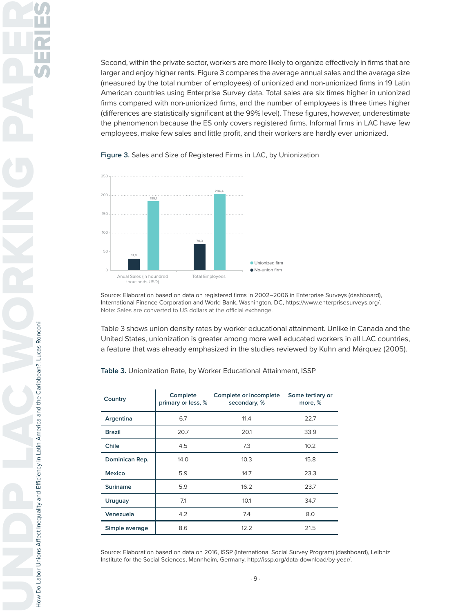Second, within the private sector, workers are more likely to organize effectively in firms that are larger and enjoy higher rents. Figure 3 compares the average annual sales and the average size (measured by the total number of employees) of unionized and non-unionized firms in 19 Latin American countries using Enterprise Survey data. Total sales are six times higher in unionized firms compared with non-unionized firms, and the number of employees is three times higher (differences are statistically significant at the 99% level). These figures, however, underestimate the phenomenon because the ES only covers registered firms. Informal firms in LAC have few employees, make few sales and little profit, and their workers are hardly ever unionized.





Source: Elaboration based on data on registered firms in 2002–2006 in Enterprise Surveys (dashboard), International Finance Corporation and World Bank, Washington, DC, https://www.enterprisesurveys.org/. Note: Sales are converted to US dollars at the official exchange.

Table 3 shows union density rates by worker educational attainment. Unlike in Canada and the United States, unionization is greater among more well educated workers in all LAC countries, a feature that was already emphasized in the studies reviewed by Kuhn and Márquez (2005).

**Table 3.** Unionization Rate, by Worker Educational Attainment, ISSP

| Country        | Complete<br>primary or less, % | Complete or incomplete<br>secondary, % | Some tertiary or<br>more, % |
|----------------|--------------------------------|----------------------------------------|-----------------------------|
| Argentina      | 6.7                            | 11.4                                   | 22.7                        |
| <b>Brazil</b>  | 20.7                           | 20.1                                   | 33.9                        |
| Chile          | 4.5                            | 7.3                                    | 10.2                        |
| Dominican Rep. | 14.0                           | 10.3                                   | 15.8                        |
| <b>Mexico</b>  | 5.9                            | 14.7                                   | 23.3                        |
| Suriname       | 5.9                            | 16.2                                   | 23.7                        |
| Uruguay        | 7.1                            | 10.1                                   | 34.7                        |
| Venezuela      | 4.2                            | 7.4                                    | 8.0                         |
| Simple average | 8.6                            | 12.2                                   | 21.5                        |

Source: Elaboration based on data on 2016, ISSP (International Social Survey Program) (dashboard), Leibniz Institute for the Social Sciences, Mannheim, Germany, http://issp.org/data-download/by-year/.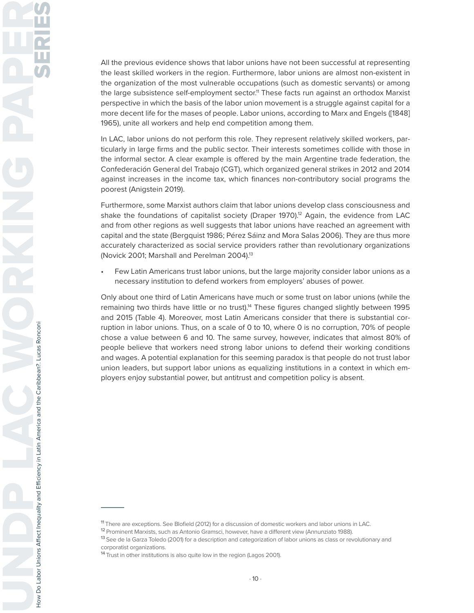All the previous evidence shows that labor unions have not been successful at representing the least skilled workers in the region. Furthermore, labor unions are almost non-existent in the organization of the most vulnerable occupations (such as domestic servants) or among the large subsistence self-employment sector.<sup>11</sup> These facts run against an orthodox Marxist perspective in which the basis of the labor union movement is a struggle against capital for a more decent life for the mases of people. Labor unions, according to Marx and Engels ([1848] 1965), unite all workers and help end competition among them.

In LAC, labor unions do not perform this role. They represent relatively skilled workers, particularly in large firms and the public sector. Their interests sometimes collide with those in the informal sector. A clear example is offered by the main Argentine trade federation, the Confederación General del Trabajo (CGT), which organized general strikes in 2012 and 2014 against increases in the income tax, which finances non-contributory social programs the poorest (Anigstein 2019).

Furthermore, some Marxist authors claim that labor unions develop class consciousness and shake the foundations of capitalist society (Draper 1970).<sup>12</sup> Again, the evidence from LAC and from other regions as well suggests that labor unions have reached an agreement with capital and the state (Bergquist 1986; Pérez Sáinz and Mora Salas 2006). They are thus more accurately characterized as social service providers rather than revolutionary organizations (Novick 2001; Marshall and Perelman 2004).<sup>13</sup>

• Few Latin Americans trust labor unions, but the large majority consider labor unions as a necessary institution to defend workers from employers' abuses of power.

Only about one third of Latin Americans have much or some trust on labor unions (while the remaining two thirds have little or no trust).<sup>14</sup> These figures changed slightly between 1995 and 2015 (Table 4). Moreover, most Latin Americans consider that there is substantial corruption in labor unions. Thus, on a scale of 0 to 10, where 0 is no corruption, 70% of people chose a value between 6 and 10. The same survey, however, indicates that almost 80% of people believe that workers need strong labor unions to defend their working conditions and wages. A potential explanation for this seeming paradox is that people do not trust labor union leaders, but support labor unions as equalizing institutions in a context in which employers enjoy substantial power, but antitrust and competition policy is absent.

**<sup>11</sup>**There are exceptions. See Blofield (2012) for a discussion of domestic workers and labor unions in LAC.

**<sup>12</sup>**Prominent Marxists, such as Antonio Gramsci, however, have a different view (Annunziato 1988).

**<sup>13</sup>**See de la Garza Toledo (2001) for a description and categorization of labor unions as class or revolutionary and corporatist organizations.

**<sup>14</sup>**Trust in other institutions is also quite low in the region (Lagos 2001).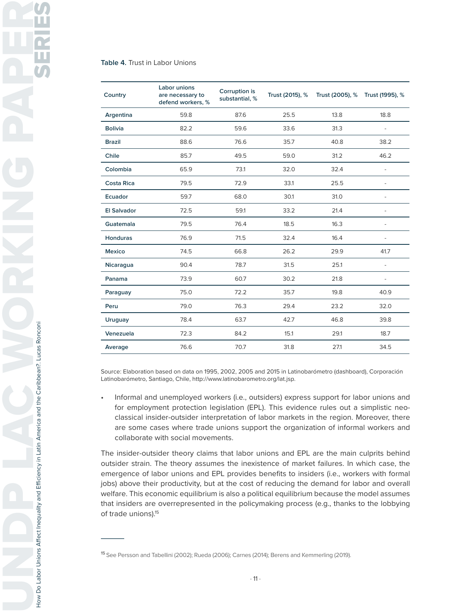#### **Table 4.** Trust in Labor Unions

| Country            | Labor unions<br>are necessary to<br>defend workers, % | Corruption is<br>substantial, % | Trust (2015), % | Trust (2005), % | Trust (1995), %          |
|--------------------|-------------------------------------------------------|---------------------------------|-----------------|-----------------|--------------------------|
| Argentina          | 59.8                                                  | 87.6                            | 25.5            | 13.8            | 18.8                     |
| <b>Bolivia</b>     | 82.2                                                  | 59.6                            | 33.6            | 31.3            | $\overline{\phantom{a}}$ |
| <b>Brazil</b>      | 88.6                                                  | 76.6                            | 35.7            | 40.8            | 38.2                     |
| Chile              | 85.7                                                  | 49.5                            | 59.0            | 31.2            | 46.2                     |
| Colombia           | 65.9                                                  | 73.1                            | 32.0            | 32.4            | $\overline{\phantom{m}}$ |
| <b>Costa Rica</b>  | 79.5                                                  | 72.9                            | 33.1            | 25.5            |                          |
| Ecuador            | 59.7                                                  | 68.0                            | 30.1            | 31.0            |                          |
| <b>El Salvador</b> | 72.5                                                  | 59.1                            | 33.2            | 21.4            |                          |
| Guatemala          | 79.5                                                  | 76.4                            | 18.5            | 16.3            |                          |
| <b>Honduras</b>    | 76.9                                                  | 71.5                            | 32.4            | 16.4            |                          |
| <b>Mexico</b>      | 74.5                                                  | 66.8                            | 26.2            | 29.9            | 41.7                     |
| Nicaragua          | 90.4                                                  | 78.7                            | 31.5            | 25.1            | $\overline{\phantom{a}}$ |
| Panama             | 73.9                                                  | 60.7                            | 30.2            | 21.8            | $\overline{\phantom{a}}$ |
| Paraguay           | 75.0                                                  | 72.2                            | 35.7            | 19.8            | 40.9                     |
| Peru               | 79.0                                                  | 76.3                            | 29.4            | 23.2            | 32.0                     |
| <b>Uruguay</b>     | 78.4                                                  | 63.7                            | 42.7            | 46.8            | 39.8                     |
| Venezuela          | 72.3                                                  | 84.2                            | 15.1            | 29.1            | 18.7                     |
| Average            | 76.6                                                  | 70.7                            | 31.8            | 27.1            | 34.5                     |

Source: Elaboration based on data on 1995, 2002, 2005 and 2015 in Latinobarómetro (dashboard), Corporación Latinobarómetro, Santiago, Chile, http://www.latinobarometro.org/lat.jsp.

• Informal and unemployed workers (i.e., outsiders) express support for labor unions and for employment protection legislation (EPL). This evidence rules out a simplistic neoclassical insider-outsider interpretation of labor markets in the region. Moreover, there are some cases where trade unions support the organization of informal workers and collaborate with social movements.

The insider-outsider theory claims that labor unions and EPL are the main culprits behind outsider strain. The theory assumes the inexistence of market failures. In which case, the emergence of labor unions and EPL provides benefits to insiders (i.e., workers with formal jobs) above their productivity, but at the cost of reducing the demand for labor and overall welfare. This economic equilibrium is also a political equilibrium because the model assumes that insiders are overrepresented in the policymaking process (e.g., thanks to the lobbying of trade unions).<sup>15</sup>

How Do Labor Unions Affect Inequality and Efficiency in Latin America and the Caribbean?. Lucas Ronconi

**<sup>15</sup>**See Persson and Tabellini (2002); Rueda (2006); Carnes (2014); Berens and Kemmerling (2019).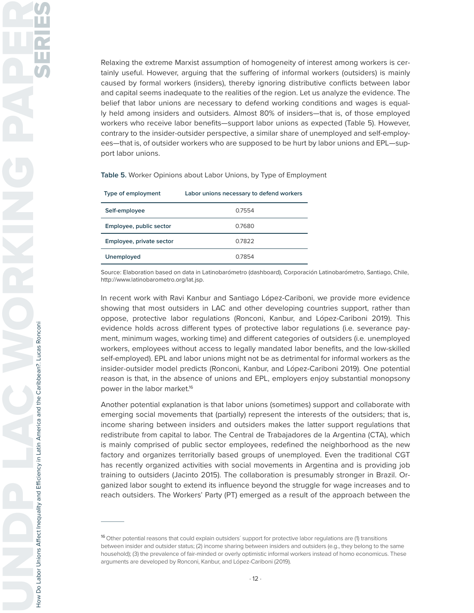Relaxing the extreme Marxist assumption of homogeneity of interest among workers is certainly useful. However, arguing that the suffering of informal workers (outsiders) is mainly caused by formal workers (insiders), thereby ignoring distributive conflicts between labor and capital seems inadequate to the realities of the region. Let us analyze the evidence. The belief that labor unions are necessary to defend working conditions and wages is equally held among insiders and outsiders. Almost 80% of insiders—that is, of those employed workers who receive labor benefits—support labor unions as expected (Table 5). However, contrary to the insider-outsider perspective, a similar share of unemployed and self-employees—that is, of outsider workers who are supposed to be hurt by labor unions and EPL—support labor unions.

**Table 5.** Worker Opinions about Labor Unions, by Type of Employment

| Type of employment       | Labor unions necessary to defend workers |
|--------------------------|------------------------------------------|
| Self-employee            | 0.7554                                   |
| Employee, public sector  | 0.7680                                   |
| Employee, private sector | 0.7822                                   |
| Unemployed               | 0.7854                                   |

Source: Elaboration based on data in Latinobarómetro (dashboard), Corporación Latinobarómetro, Santiago, Chile, http://www.latinobarometro.org/lat.jsp.

In recent work with Ravi Kanbur and Santiago López-Cariboni, we provide more evidence showing that most outsiders in LAC and other developing countries support, rather than oppose, protective labor regulations (Ronconi, Kanbur, and López-Cariboni 2019). This evidence holds across different types of protective labor regulations (i.e. severance payment, minimum wages, working time) and different categories of outsiders (i.e. unemployed workers, employees without access to legally mandated labor benefits, and the low-skilled self-employed). EPL and labor unions might not be as detrimental for informal workers as the insider-outsider model predicts (Ronconi, Kanbur, and López-Cariboni 2019). One potential reason is that, in the absence of unions and EPL, employers enjoy substantial monopsony power in the labor market.<sup>16</sup>

Another potential explanation is that labor unions (sometimes) support and collaborate with emerging social movements that (partially) represent the interests of the outsiders; that is, income sharing between insiders and outsiders makes the latter support regulations that redistribute from capital to labor. The Central de Trabajadores de la Argentina (CTA), which is mainly comprised of public sector employees, redefined the neighborhood as the new factory and organizes territorially based groups of unemployed. Even the traditional CGT has recently organized activities with social movements in Argentina and is providing job training to outsiders (Jacinto 2015). The collaboration is presumably stronger in Brazil. Organized labor sought to extend its influence beyond the struggle for wage increases and to reach outsiders. The Workers' Party (PT) emerged as a result of the approach between the

**<sup>16</sup>**Other potential reasons that could explain outsiders´ support for protective labor regulations are (1) transitions between insider and outsider status; (2) income sharing between insiders and outsiders (e.g., they belong to the same household); (3) the prevalence of fair-minded or overly optimistic informal workers instead of homo economicus. These arguments are developed by Ronconi, Kanbur, and López-Cariboni (2019).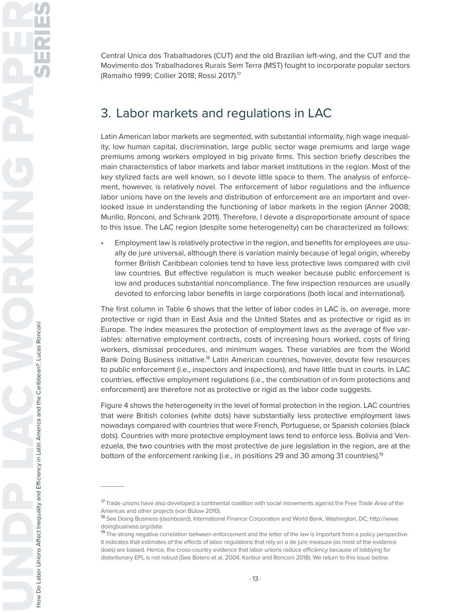Central Unica dos Trabalhadores (CUT) and the old Brazilian left-wing, and the CUT and the Movimento dos Trabalhadores Rurais Sem Terra (MST) fought to incorporate popular sectors (Ramalho 1999; Collier 2018; Rossi 2017).17

## 3. Labor markets and regulations in LAC

Latin American labor markets are segmented, with substantial informality, high wage inequality, low human capital, discrimination, large public sector wage premiums and large wage premiums among workers employed in big private firms. This section briefly describes the main characteristics of labor markets and labor market institutions in the region. Most of the key stylized facts are well known, so I devote little space to them. The analysis of enforcement, however, is relatively novel. The enforcement of labor regulations and the influence labor unions have on the levels and distribution of enforcement are an important and overlooked issue in understanding the functioning of labor markets in the region (Anner 2008; Murillo, Ronconi, and Schrank 2011). Therefore, I devote a disproportionate amount of space to this issue. The LAC region (despite some heterogeneity) can be characterized as follows:

• Employment law is relatively protective in the region, and benefits for employees are usually de jure universal, although there is variation mainly because of legal origin, whereby former British Caribbean colonies tend to have less protective laws compared with civil law countries. But effective regulation is much weaker because public enforcement is low and produces substantial noncompliance. The few inspection resources are usually devoted to enforcing labor benefits in large corporations (both local and international).

The first column in Table 6 shows that the letter of labor codes in LAC is, on average, more protective or rigid than in East Asia and the United States and as protective or rigid as in Europe. The index measures the protection of employment laws as the average of five variables: alternative employment contracts, costs of increasing hours worked, costs of firing workers, dismissal procedures, and minimum wages. These variables are from the World Bank Doing Business initiative.<sup>18</sup> Latin American countries, however, devote few resources to public enforcement (i.e., inspectors and inspections), and have little trust in courts. In LAC countries, effective employment regulations (i.e., the combination of in-form protections and enforcement) are therefore not as protective or rigid as the labor code suggests.

Figure 4 shows the heterogeneity in the level of formal protection in the region. LAC countries that were British colonies (white dots) have substantially less protective employment laws nowadays compared with countries that were French, Portuguese, or Spanish colonies (black dots). Countries with more protective employment laws tend to enforce less. Bolivia and Venezuela, the two countries with the most protective de jure legislation in the region, are at the bottom of the enforcement ranking (i.e., in positions 29 and 30 among 31 countries).<sup>19</sup>

**<sup>17</sup>**Trade unions have also developed a continental coalition with social movements against the Free Trade Area of the Americas and other projects (von Bülow 2010).

**<sup>18</sup>**See Doing Business (dashboard), International Finance Corporation and World Bank, Washington, DC, http://www. doingbusiness.org/data.

**<sup>19</sup>**The strong negative correlation between enforcement and the letter of the law is important from a policy perspective. It indicates that estimates of the effects of labor regulations that rely on a de jure measure (as most of the evidence does) are biased. Hence, the cross-country evidence that labor unions reduce efficiency because of lobbying for distortionary EPL is not robust (See Botero et al. 2004; Kanbur and Ronconi 2018). We return to this issue below.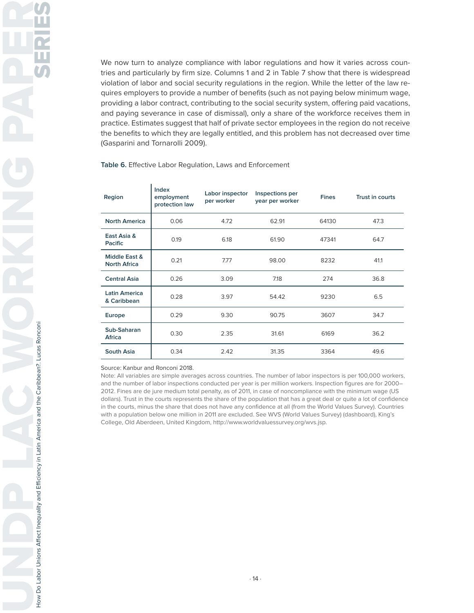We now turn to analyze compliance with labor regulations and how it varies across countries and particularly by firm size. Columns 1 and 2 in Table 7 show that there is widespread violation of labor and social security regulations in the region. While the letter of the law requires employers to provide a number of benefits (such as not paying below minimum wage, providing a labor contract, contributing to the social security system, offering paid vacations, and paying severance in case of dismissal), only a share of the workforce receives them in practice. Estimates suggest that half of private sector employees in the region do not receive the benefits to which they are legally entitled, and this problem has not decreased over time (Gasparini and Tornarolli 2009).

#### **Table 6.** Effective Labor Regulation, Laws and Enforcement

| Region                               | <b>Index</b><br>employment<br>protection law | Labor inspector<br>per worker | Inspections per<br>year per worker | <b>Fines</b> | Trust in courts |
|--------------------------------------|----------------------------------------------|-------------------------------|------------------------------------|--------------|-----------------|
| <b>North America</b>                 | 0.06                                         | 4.72                          | 62.91                              | 64130        | 47.3            |
| East Asia &<br>Pacific               | 0.19                                         | 6.18                          | 61.90                              | 47341        | 64.7            |
| Middle East &<br><b>North Africa</b> | 0.21                                         | 7.77                          | 98.00                              | 8232         | 41.1            |
| <b>Central Asia</b>                  | 0.26                                         | 3.09                          | 7.18                               | 274          | 36.8            |
| <b>Latin America</b><br>& Caribbean  | 0.28                                         | 3.97                          | 54.42                              | 9230         | 6.5             |
| Europe                               | 0.29                                         | 9.30                          | 90.75                              | 3607         | 34.7            |
| Sub-Saharan<br>Africa                | 0.30                                         | 2.35                          | 31.61                              | 6169         | 36.2            |
| South Asia                           | 0.34                                         | 2.42                          | 31.35                              | 3364         | 49.6            |

#### Source: Kanbur and Ronconi 2018.

Note: All variables are simple averages across countries. The number of labor inspectors is per 100,000 workers, and the number of labor inspections conducted per year is per million workers. Inspection figures are for 2000– 2012. Fines are de jure medium total penalty, as of 2011, in case of noncompliance with the minimum wage (US dollars). Trust in the courts represents the share of the population that has a great deal or quite a lot of confidence in the courts, minus the share that does not have any confidence at all (from the World Values Survey). Countries with a population below one million in 2011 are excluded. See WVS (World Values Survey) (dashboard), King's College, Old Aberdeen, United Kingdom, http://www.worldvaluessurvey.org/wvs.jsp.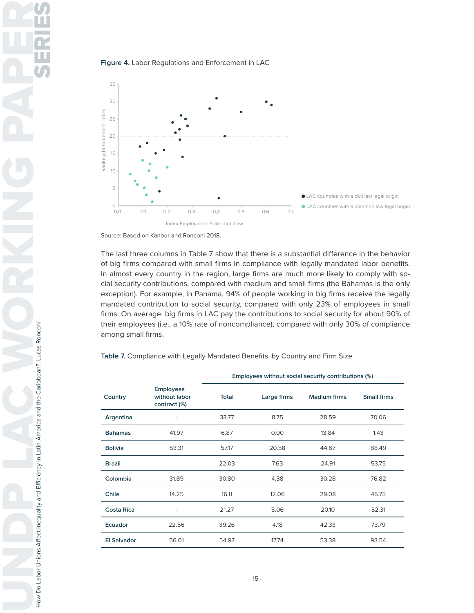





Source: Based on Kanbur and Ronconi 2018.

The last three columns in Table 7 show that there is a substantial difference in the behavior of big firms compared with small firms in compliance with legally mandated labor benefits. In almost every country in the region, large firms are much more likely to comply with social security contributions, compared with medium and small firms (the Bahamas is the only exception). For example, in Panama, 94% of people working in big firms receive the legally mandated contribution to social security, compared with only 23% of employees in small firms. On average, big firms in LAC pay the contributions to social security for about 90% of their employees (i.e., a 10% rate of noncompliance), compared with only 30% of compliance among small firms.

**Table 7.** Compliance with Legally Mandated Benefits, by Country and Firm Size

|                    |                                                   | Employees without social security contributions (%) |             |              |             |  |
|--------------------|---------------------------------------------------|-----------------------------------------------------|-------------|--------------|-------------|--|
| Country            | <b>Employees</b><br>without labor<br>contract (%) | <b>Total</b>                                        | Large firms | Medium firms | Small firms |  |
| Argentina          | -                                                 | 33.77                                               | 8.75        | 28.59        | 70.06       |  |
| <b>Bahamas</b>     | 41.97                                             | 6.87                                                | 0.00        | 13.84        | 1.43        |  |
| <b>Bolivia</b>     | 53.31                                             | 57.17                                               | 20.58       | 44.67        | 88.49       |  |
| <b>Brazil</b>      | ۰                                                 | 22.03                                               | 7.63        | 24.91        | 53.75       |  |
| Colombia           | 31.89                                             | 30.80                                               | 4.38        | 30.28        | 76.82       |  |
| Chile              | 14.25                                             | 16.11                                               | 12.06       | 29.08        | 45.75       |  |
| <b>Costa Rica</b>  | ۰                                                 | 21.27                                               | 5.06        | 20.10        | 52.31       |  |
| <b>Ecuador</b>     | 22.56                                             | 39.26                                               | 4.18        | 42.33        | 73.79       |  |
| <b>El Salvador</b> | 56.01                                             | 54.97                                               | 17.74       | 53.38        | 93.54       |  |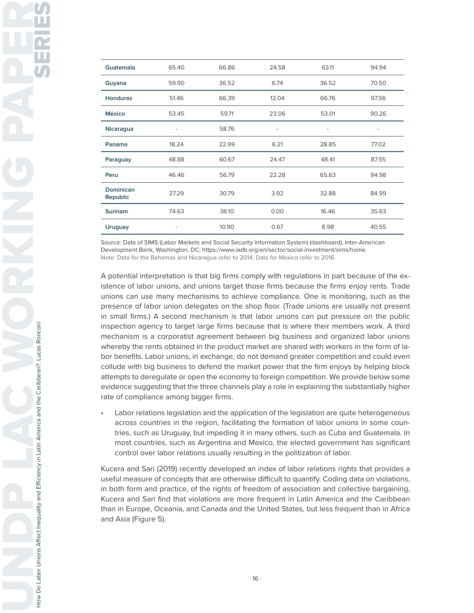| 65.40<br>66.86<br>63.11<br>94.94<br>Guatemala<br>24.58<br>59.90<br>36.52<br>6.74<br>36.52<br>70.50<br>Guyana<br><b>Honduras</b><br>51.46<br>66.39<br>12.04<br>66.76<br>97.56<br>59.71<br>23.06<br>53.01<br>90.26<br><b>México</b><br>53.45<br>58.76<br>Nicaragua<br>-<br>$\overline{\phantom{a}}$<br>-<br>$\overline{\phantom{a}}$<br>6.21<br>18.24<br>77.02<br>Panama<br>22.99<br>28.85<br>60.67<br>24.47<br>48.41<br>87.55<br>48.88<br>Paraguay<br>46.46<br>65.63<br>Peru<br>56.79<br>22.28<br>94.98<br>Dominican<br>27.29<br>30.79<br>3.92<br>32.88<br>84.99<br>Republic<br>16.46<br><b>Surinam</b><br>74.63<br>36.10<br>0.00<br>35.63<br>10.90<br>0.67<br>8.98<br>40.55<br>Uruguay<br>- |  |  |  |
|---------------------------------------------------------------------------------------------------------------------------------------------------------------------------------------------------------------------------------------------------------------------------------------------------------------------------------------------------------------------------------------------------------------------------------------------------------------------------------------------------------------------------------------------------------------------------------------------------------------------------------------------------------------------------------------------|--|--|--|
|                                                                                                                                                                                                                                                                                                                                                                                                                                                                                                                                                                                                                                                                                             |  |  |  |
|                                                                                                                                                                                                                                                                                                                                                                                                                                                                                                                                                                                                                                                                                             |  |  |  |
|                                                                                                                                                                                                                                                                                                                                                                                                                                                                                                                                                                                                                                                                                             |  |  |  |
|                                                                                                                                                                                                                                                                                                                                                                                                                                                                                                                                                                                                                                                                                             |  |  |  |
|                                                                                                                                                                                                                                                                                                                                                                                                                                                                                                                                                                                                                                                                                             |  |  |  |
|                                                                                                                                                                                                                                                                                                                                                                                                                                                                                                                                                                                                                                                                                             |  |  |  |
|                                                                                                                                                                                                                                                                                                                                                                                                                                                                                                                                                                                                                                                                                             |  |  |  |
|                                                                                                                                                                                                                                                                                                                                                                                                                                                                                                                                                                                                                                                                                             |  |  |  |
|                                                                                                                                                                                                                                                                                                                                                                                                                                                                                                                                                                                                                                                                                             |  |  |  |
|                                                                                                                                                                                                                                                                                                                                                                                                                                                                                                                                                                                                                                                                                             |  |  |  |
|                                                                                                                                                                                                                                                                                                                                                                                                                                                                                                                                                                                                                                                                                             |  |  |  |

Source: Data of SIMS (Labor Markets and Social Security Information System) (dashboard), Inter-American Development Bank, Washington, DC, https://www.iadb.org/en/sector/social-investment/sims/home. Note: Data for the Bahamas and Nicaragua refer to 2014. Data for Mexico refer to 2016.

A potential interpretation is that big firms comply with regulations in part because of the existence of labor unions, and unions target those firms because the firms enjoy rents. Trade unions can use many mechanisms to achieve compliance. One is monitoring, such as the presence of labor union delegates on the shop floor. (Trade unions are usually not present in small firms.) A second mechanism is that labor unions can put pressure on the public inspection agency to target large firms because that is where their members work. A third mechanism is a corporatist agreement between big business and organized labor unions whereby the rents obtained in the product market are shared with workers in the form of labor benefits. Labor unions, in exchange, do not demand greater competition and could even collude with big business to defend the market power that the firm enjoys by helping block attempts to deregulate or open the economy to foreign competition. We provide below some evidence suggesting that the three channels play a role in explaining the substantially higher rate of compliance among bigger firms.

• Labor relations legislation and the application of the legislation are quite heterogeneous across countries in the region, facilitating the formation of labor unions in some countries, such as Uruguay, but impeding it in many others, such as Cuba and Guatemala. In most countries, such as Argentina and Mexico, the elected government has significant control over labor relations usually resulting in the politization of labor.

Kucera and Sari (2019) recently developed an index of labor relations rights that provides a useful measure of concepts that are otherwise difficult to quantify. Coding data on violations, in both form and practice, of the rights of freedom of association and collective bargaining, Kucera and Sari find that violations are more frequent in Latin America and the Caribbean than in Europe, Oceania, and Canada and the United States, but less frequent than in Africa and Asia (Figure 5).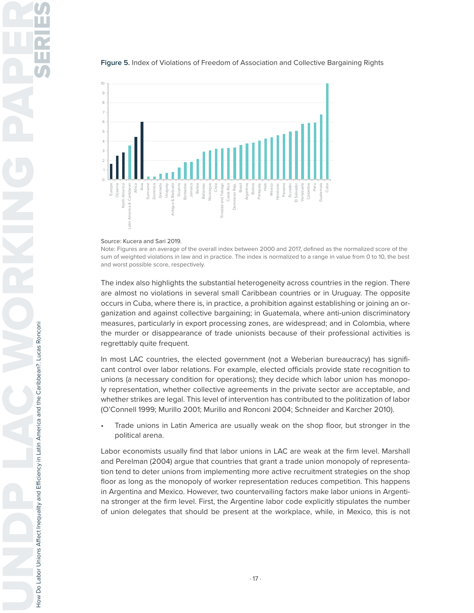

#### **Figure 5.** Index of Violations of Freedom of Association and Collective Bargaining Rights

#### Source: Kucera and Sari 2019.

Note: Figures are an average of the overall index between 2000 and 2017, defined as the normalized score of the sum of weighted violations in law and in practice. The index is normalized to a range in value from 0 to 10, the best and worst possible score, respectively.

The index also highlights the substantial heterogeneity across countries in the region. There are almost no violations in several small Caribbean countries or in Uruguay. The opposite occurs in Cuba, where there is, in practice, a prohibition against establishing or joining an organization and against collective bargaining; in Guatemala, where anti-union discriminatory measures, particularly in export processing zones, are widespread; and in Colombia, where the murder or disappearance of trade unionists because of their professional activities is regrettably quite frequent.

In most LAC countries, the elected government (not a Weberian bureaucracy) has significant control over labor relations. For example, elected officials provide state recognition to unions (a necessary condition for operations); they decide which labor union has monopoly representation, whether collective agreements in the private sector are acceptable, and whether strikes are legal. This level of intervention has contributed to the politization of labor (O'Connell 1999; Murillo 2001; Murillo and Ronconi 2004; Schneider and Karcher 2010).

• Trade unions in Latin America are usually weak on the shop floor, but stronger in the political arena.

Labor economists usually find that labor unions in LAC are weak at the firm level. Marshall and Perelman (2004) argue that countries that grant a trade union monopoly of representation tend to deter unions from implementing more active recruitment strategies on the shop floor as long as the monopoly of worker representation reduces competition. This happens in Argentina and Mexico. However, two countervailing factors make labor unions in Argentina stronger at the firm level. First, the Argentine labor code explicitly stipulates the number of union delegates that should be present at the workplace, while, in Mexico, this is not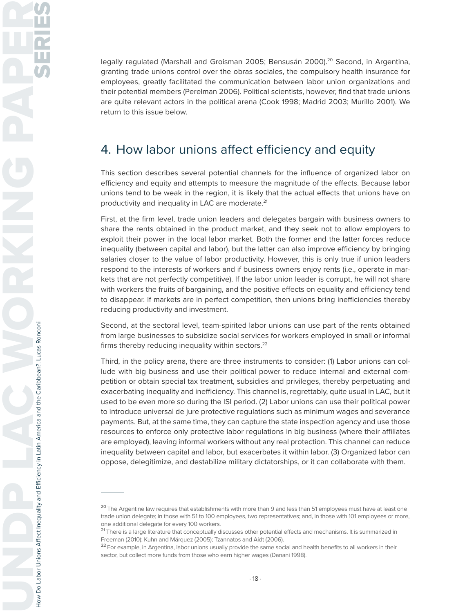legally regulated (Marshall and Groisman 2005; Bensusán 2000).<sup>20</sup> Second, in Argentina, granting trade unions control over the obras sociales, the compulsory health insurance for employees, greatly facilitated the communication between labor union organizations and their potential members (Perelman 2006). Political scientists, however, find that trade unions are quite relevant actors in the political arena (Cook 1998; Madrid 2003; Murillo 2001). We return to this issue below.

# 4. How labor unions affect efficiency and equity

This section describes several potential channels for the influence of organized labor on efficiency and equity and attempts to measure the magnitude of the effects. Because labor unions tend to be weak in the region, it is likely that the actual effects that unions have on productivity and inequality in LAC are moderate.<sup>21</sup>

First, at the firm level, trade union leaders and delegates bargain with business owners to share the rents obtained in the product market, and they seek not to allow employers to exploit their power in the local labor market. Both the former and the latter forces reduce inequality (between capital and labor), but the latter can also improve efficiency by bringing salaries closer to the value of labor productivity. However, this is only true if union leaders respond to the interests of workers and if business owners enjoy rents (i.e., operate in markets that are not perfectly competitive). If the labor union leader is corrupt, he will not share with workers the fruits of bargaining, and the positive effects on equality and efficiency tend to disappear. If markets are in perfect competition, then unions bring inefficiencies thereby reducing productivity and investment.

Second, at the sectoral level, team-spirited labor unions can use part of the rents obtained from large businesses to subsidize social services for workers employed in small or informal firms thereby reducing inequality within sectors.<sup>22</sup>

Third, in the policy arena, there are three instruments to consider: (1) Labor unions can collude with big business and use their political power to reduce internal and external competition or obtain special tax treatment, subsidies and privileges, thereby perpetuating and exacerbating inequality and inefficiency. This channel is, regrettably, quite usual in LAC, but it used to be even more so during the ISI period. (2) Labor unions can use their political power to introduce universal de jure protective regulations such as minimum wages and severance payments. But, at the same time, they can capture the state inspection agency and use those resources to enforce only protective labor regulations in big business (where their affiliates are employed), leaving informal workers without any real protection. This channel can reduce inequality between capital and labor, but exacerbates it within labor. (3) Organized labor can oppose, delegitimize, and destabilize military dictatorships, or it can collaborate with them.

**<sup>20</sup>**The Argentine law requires that establishments with more than 9 and less than 51 employees must have at least one trade union delegate; in those with 51 to 100 employees, two representatives; and, in those with 101 employees or more, one additional delegate for every 100 workers.

**<sup>21</sup>**There is a large literature that conceptually discusses other potential effects and mechanisms. It is summarized in Freeman (2010); Kuhn and Márquez (2005); Tzannatos and Aidt (2006).

**<sup>22</sup>**For example, in Argentina, labor unions usually provide the same social and health benefits to all workers in their sector, but collect more funds from those who earn higher wages (Danani 1998).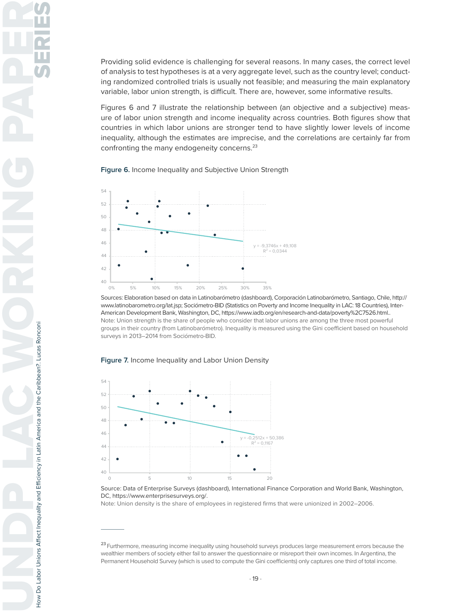Providing solid evidence is challenging for several reasons. In many cases, the correct level of analysis to test hypotheses is at a very aggregate level, such as the country level; conducting randomized controlled trials is usually not feasible; and measuring the main explanatory variable, labor union strength, is difficult. There are, however, some informative results.

Figures 6 and 7 illustrate the relationship between (an objective and a subjective) measure of labor union strength and income inequality across countries. Both figures show that countries in which labor unions are stronger tend to have slightly lower levels of income inequality, although the estimates are imprecise, and the correlations are certainly far from confronting the many endogeneity concerns.<sup>23</sup>

**Figure 6.** Income Inequality and Subjective Union Strength



Sources: Elaboration based on data in Latinobarómetro (dashboard), Corporación Latinobarómetro, Santiago, Chile, http:// www.latinobarometro.org/lat.jsp; Sociómetro-BID (Statistics on Poverty and Income Inequality in LAC: 18 Countries), Inter-American Development Bank, Washington, DC, https://www.iadb.org/en/research-and-data/poverty%2C7526.html.. Note: Union strength is the share of people who consider that labor unions are among the three most powerful groups in their country (from Latinobarómetro). Inequality is measured using the Gini coefficient based on household surveys in 2013–2014 from Sociómetro-BID.

**Figure 7.** Income Inequality and Labor Union Density



Source: Data of Enterprise Surveys (dashboard), International Finance Corporation and World Bank, Washington, DC, https://www.enterprisesurveys.org/.

Note: Union density is the share of employees in registered firms that were unionized in 2002–2006.

**<sup>23</sup>**Furthermore, measuring income inequality using household surveys produces large measurement errors because the wealthier members of society either fail to answer the questionnaire or misreport their own incomes. In Argentina, the Permanent Household Survey (which is used to compute the Gini coefficients) only captures one third of total income.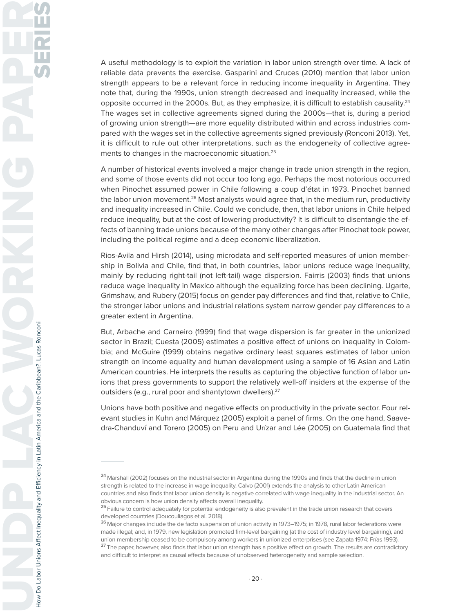A useful methodology is to exploit the variation in labor union strength over time. A lack of reliable data prevents the exercise. Gasparini and Cruces (2010) mention that labor union strength appears to be a relevant force in reducing income inequality in Argentina. They note that, during the 1990s, union strength decreased and inequality increased, while the opposite occurred in the 2000s. But, as they emphasize, it is difficult to establish causality. $24$ The wages set in collective agreements signed during the 2000s—that is, during a period of growing union strength—are more equality distributed within and across industries compared with the wages set in the collective agreements signed previously (Ronconi 2013). Yet, it is difficult to rule out other interpretations, such as the endogeneity of collective agreements to changes in the macroeconomic situation.<sup>25</sup>

A number of historical events involved a major change in trade union strength in the region, and some of those events did not occur too long ago. Perhaps the most notorious occurred when Pinochet assumed power in Chile following a coup d'état in 1973. Pinochet banned the labor union movement.<sup>26</sup> Most analysts would agree that, in the medium run, productivity and inequality increased in Chile. Could we conclude, then, that labor unions in Chile helped reduce inequality, but at the cost of lowering productivity? It is difficult to disentangle the effects of banning trade unions because of the many other changes after Pinochet took power, including the political regime and a deep economic liberalization.

Rios-Avila and Hirsh (2014), using microdata and self-reported measures of union membership in Bolivia and Chile, find that, in both countries, labor unions reduce wage inequality, mainly by reducing right-tail (not left-tail) wage dispersion. Fairris (2003) finds that unions reduce wage inequality in Mexico although the equalizing force has been declining. Ugarte, Grimshaw, and Rubery (2015) focus on gender pay differences and find that, relative to Chile, the stronger labor unions and industrial relations system narrow gender pay differences to a greater extent in Argentina.

But, Arbache and Carneiro (1999) find that wage dispersion is far greater in the unionized sector in Brazil; Cuesta (2005) estimates a positive effect of unions on inequality in Colombia; and McGuire (1999) obtains negative ordinary least squares estimates of labor union strength on income equality and human development using a sample of 16 Asian and Latin American countries. He interprets the results as capturing the objective function of labor unions that press governments to support the relatively well-off insiders at the expense of the outsiders (e.g., rural poor and shantytown dwellers).<sup>27</sup>

Unions have both positive and negative effects on productivity in the private sector. Four relevant studies in Kuhn and Márquez (2005) exploit a panel of firms. On the one hand, Saavedra-Chanduví and Torero (2005) on Peru and Urízar and Lée (2005) on Guatemala find that

**<sup>24</sup>**Marshall (2002) focuses on the industrial sector in Argentina during the 1990s and finds that the decline in union strength is related to the increase in wage inequality. Calvo (2001) extends the analysis to other Latin American countries and also finds that labor union density is negative correlated with wage inequality in the industrial sector. An obvious concern is how union density affects overall inequality.

**<sup>25</sup>**Failure to control adequately for potential endogeneity is also prevalent in the trade union research that covers developed countries (Doucouliagos et al. 2018).

**<sup>26</sup>**Major changes include the de facto suspension of union activity in 1973–1975; in 1978, rural labor federations were made illegal; and, in 1979, new legislation promoted firm-level bargaining (at the cost of industry level bargaining), and union membership ceased to be compulsory among workers in unionized enterprises (see Zapata 1974; Frías 1993).

**<sup>27</sup>**The paper, however, also finds that labor union strength has a positive effect on growth. The results are contradictory and difficult to interpret as causal effects because of unobserved heterogeneity and sample selection.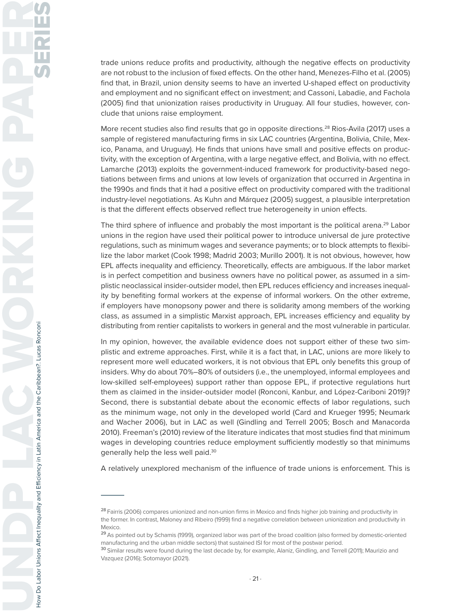trade unions reduce profits and productivity, although the negative effects on productivity are not robust to the inclusion of fixed effects. On the other hand, Menezes-Filho et al. (2005) find that, in Brazil, union density seems to have an inverted U-shaped effect on productivity and employment and no significant effect on investment; and Cassoni, Labadie, and Fachola (2005) find that unionization raises productivity in Uruguay. All four studies, however, conclude that unions raise employment.

More recent studies also find results that go in opposite directions.<sup>28</sup> Rios-Avila (2017) uses a sample of registered manufacturing firms in six LAC countries (Argentina, Bolivia, Chile, Mexico, Panama, and Uruguay). He finds that unions have small and positive effects on productivity, with the exception of Argentina, with a large negative effect, and Bolivia, with no effect. Lamarche (2013) exploits the government-induced framework for productivity-based negotiations between firms and unions at low levels of organization that occurred in Argentina in the 1990s and finds that it had a positive effect on productivity compared with the traditional industry-level negotiations. As Kuhn and Márquez (2005) suggest, a plausible interpretation is that the different effects observed reflect true heterogeneity in union effects.

The third sphere of influence and probably the most important is the political arena.<sup>29</sup> Labor unions in the region have used their political power to introduce universal de jure protective regulations, such as minimum wages and severance payments; or to block attempts to flexibilize the labor market (Cook 1998; Madrid 2003; Murillo 2001). It is not obvious, however, how EPL affects inequality and efficiency. Theoretically, effects are ambiguous. If the labor market is in perfect competition and business owners have no political power, as assumed in a simplistic neoclassical insider-outsider model, then EPL reduces efficiency and increases inequality by benefiting formal workers at the expense of informal workers. On the other extreme, if employers have monopsony power and there is solidarity among members of the working class, as assumed in a simplistic Marxist approach, EPL increases efficiency and equality by distributing from rentier capitalists to workers in general and the most vulnerable in particular.

In my opinion, however, the available evidence does not support either of these two simplistic and extreme approaches. First, while it is a fact that, in LAC, unions are more likely to represent more well educated workers, it is not obvious that EPL only benefits this group of insiders. Why do about 70%–80% of outsiders (i.e., the unemployed, informal employees and low-skilled self-employees) support rather than oppose EPL, if protective regulations hurt them as claimed in the insider-outsider model (Ronconi, Kanbur, and López-Cariboni 2019)? Second, there is substantial debate about the economic effects of labor regulations, such as the minimum wage, not only in the developed world (Card and Krueger 1995; Neumark and Wacher 2006), but in LAC as well (Gindling and Terrell 2005; Bosch and Manacorda 2010). Freeman's (2010) review of the literature indicates that most studies find that minimum wages in developing countries reduce employment sufficiently modestly so that minimums generally help the less well paid.<sup>30</sup>

A relatively unexplored mechanism of the influence of trade unions is enforcement. This is

**<sup>28</sup>**Fairris (2006) compares unionized and non-union firms in Mexico and finds higher job training and productivity in the former. In contrast, Maloney and Ribeiro (1999) find a negative correlation between unionization and productivity in Mexico.

**<sup>29</sup>**As pointed out by Schamis (1999), organized labor was part of the broad coalition (also formed by domestic-oriented manufacturing and the urban middle sectors) that sustained ISI for most of the postwar period.

**<sup>30</sup>**Similar results were found during the last decade by, for example, Alaniz, Gindling, and Terrell (2011); Maurizio and Vazquez (2016); Sotomayor (2021).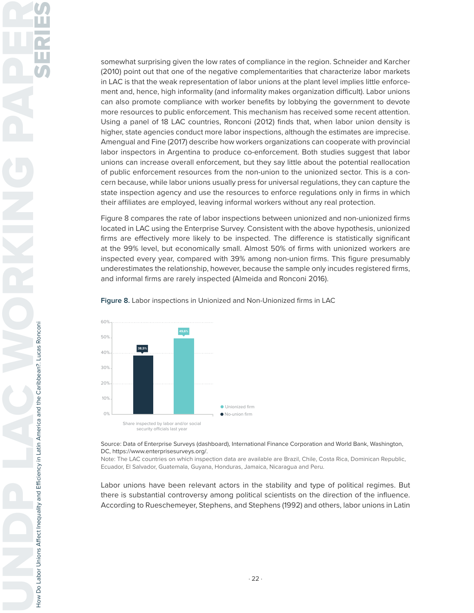somewhat surprising given the low rates of compliance in the region. Schneider and Karcher (2010) point out that one of the negative complementarities that characterize labor markets in LAC is that the weak representation of labor unions at the plant level implies little enforcement and, hence, high informality (and informality makes organization difficult). Labor unions can also promote compliance with worker benefits by lobbying the government to devote more resources to public enforcement. This mechanism has received some recent attention. Using a panel of 18 LAC countries, Ronconi (2012) finds that, when labor union density is higher, state agencies conduct more labor inspections, although the estimates are imprecise. Amengual and Fine (2017) describe how workers organizations can cooperate with provincial labor inspectors in Argentina to produce co-enforcement. Both studies suggest that labor unions can increase overall enforcement, but they say little about the potential reallocation of public enforcement resources from the non-union to the unionized sector. This is a concern because, while labor unions usually press for universal regulations, they can capture the state inspection agency and use the resources to enforce regulations only in firms in which their affiliates are employed, leaving informal workers without any real protection.

Figure 8 compares the rate of labor inspections between unionized and non-unionized firms located in LAC using the Enterprise Survey. Consistent with the above hypothesis, unionized firms are effectively more likely to be inspected. The difference is statistically significant at the 99% level, but economically small. Almost 50% of firms with unionized workers are inspected every year, compared with 39% among non-union firms. This figure presumably underestimates the relationship, however, because the sample only incudes registered firms, and informal firms are rarely inspected (Almeida and Ronconi 2016).



**Figure 8.** Labor inspections in Unionized and Non-Unionized firms in LAC

Source: Data of Enterprise Surveys (dashboard), International Finance Corporation and World Bank, Washington, DC, https://www.enterprisesurveys.org/.

Note: The LAC countries on which inspection data are available are Brazil, Chile, Costa Rica, Dominican Republic, Ecuador, El Salvador, Guatemala, Guyana, Honduras, Jamaica, Nicaragua and Peru.

Labor unions have been relevant actors in the stability and type of political regimes. But there is substantial controversy among political scientists on the direction of the influence. According to Rueschemeyer, Stephens, and Stephens (1992) and others, labor unions in Latin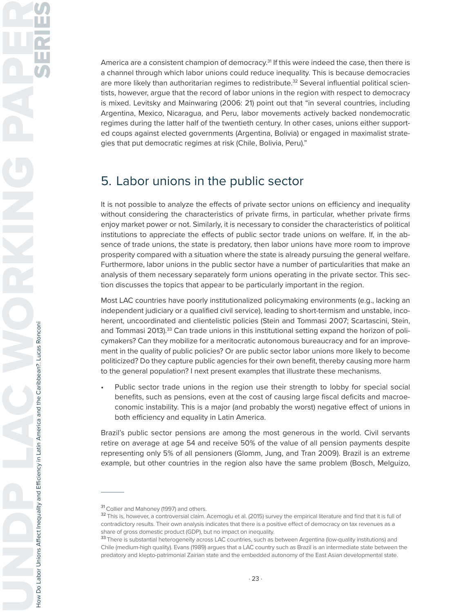America are a consistent champion of democracy.<sup>31</sup> If this were indeed the case, then there is a channel through which labor unions could reduce inequality. This is because democracies are more likely than authoritarian regimes to redistribute.<sup>32</sup> Several influential political scientists, however, argue that the record of labor unions in the region with respect to democracy is mixed. Levitsky and Mainwaring (2006: 21) point out that "in several countries, including Argentina, Mexico, Nicaragua, and Peru, labor movements actively backed nondemocratic regimes during the latter half of the twentieth century. In other cases, unions either supported coups against elected governments (Argentina, Bolivia) or engaged in maximalist strategies that put democratic regimes at risk (Chile, Bolivia, Peru)."

## 5. Labor unions in the public sector

It is not possible to analyze the effects of private sector unions on efficiency and inequality without considering the characteristics of private firms, in particular, whether private firms enjoy market power or not. Similarly, it is necessary to consider the characteristics of political institutions to appreciate the effects of public sector trade unions on welfare. If, in the absence of trade unions, the state is predatory, then labor unions have more room to improve prosperity compared with a situation where the state is already pursuing the general welfare. Furthermore, labor unions in the public sector have a number of particularities that make an analysis of them necessary separately form unions operating in the private sector. This section discusses the topics that appear to be particularly important in the region.

Most LAC countries have poorly institutionalized policymaking environments (e.g., lacking an independent judiciary or a qualified civil service), leading to short-termism and unstable, incoherent, uncoordinated and clientelistic policies (Stein and Tommasi 2007; Scartascini, Stein, and Tommasi 2013).<sup>33</sup> Can trade unions in this institutional setting expand the horizon of policymakers? Can they mobilize for a meritocratic autonomous bureaucracy and for an improvement in the quality of public policies? Or are public sector labor unions more likely to become politicized? Do they capture public agencies for their own benefit, thereby causing more harm to the general population? I next present examples that illustrate these mechanisms.

Public sector trade unions in the region use their strength to lobby for special social benefits, such as pensions, even at the cost of causing large fiscal deficits and macroeconomic instability. This is a major (and probably the worst) negative effect of unions in both efficiency and equality in Latin America.

Brazil's public sector pensions are among the most generous in the world. Civil servants retire on average at age 54 and receive 50% of the value of all pension payments despite representing only 5% of all pensioners (Glomm, Jung, and Tran 2009). Brazil is an extreme example, but other countries in the region also have the same problem (Bosch, Melguizo,

**<sup>31</sup>**Collier and Mahoney (1997) and others.

**<sup>32</sup>**This is, however, a controversial claim. Acemoglu et al. (2015) survey the empirical literature and find that it is full of contradictory results. Their own analysis indicates that there is a positive effect of democracy on tax revenues as a share of gross domestic product (GDP), but no impact on inequality.

**<sup>33</sup>**There is substantial heterogeneity across LAC countries, such as between Argentina (low-quality institutions) and Chile (medium-high quality). Evans (1989) argues that a LAC country such as Brazil is an intermediate state between the predatory and klepto-patrimonial Zairian state and the embedded autonomy of the East Asian developmental state.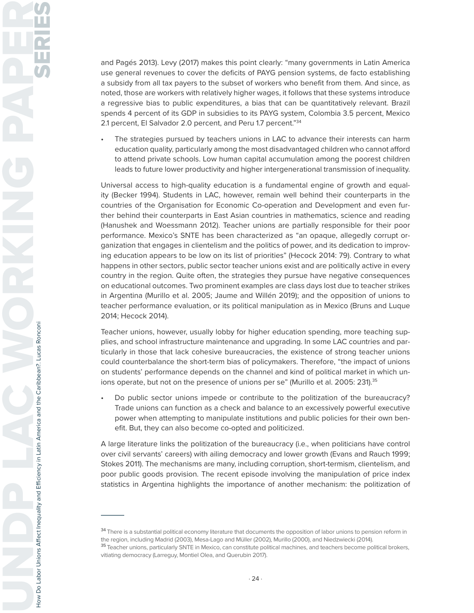and Pagés 2013). Levy (2017) makes this point clearly: "many governments in Latin America use general revenues to cover the deficits of PAYG pension systems, de facto establishing a subsidy from all tax payers to the subset of workers who benefit from them. And since, as noted, those are workers with relatively higher wages, it follows that these systems introduce a regressive bias to public expenditures, a bias that can be quantitatively relevant. Brazil spends 4 percent of its GDP in subsidies to its PAYG system, Colombia 3.5 percent, Mexico 2.1 percent, El Salvador 2.0 percent, and Peru 1.7 percent."34

The strategies pursued by teachers unions in LAC to advance their interests can harm education quality, particularly among the most disadvantaged children who cannot afford to attend private schools. Low human capital accumulation among the poorest children leads to future lower productivity and higher intergenerational transmission of inequality.

Universal access to high-quality education is a fundamental engine of growth and equality (Becker 1994). Students in LAC, however, remain well behind their counterparts in the countries of the Organisation for Economic Co-operation and Development and even further behind their counterparts in East Asian countries in mathematics, science and reading (Hanushek and Woessmann 2012). Teacher unions are partially responsible for their poor performance. Mexico's SNTE has been characterized as "an opaque, allegedly corrupt organization that engages in clientelism and the politics of power, and its dedication to improving education appears to be low on its list of priorities" (Hecock 2014: 79). Contrary to what happens in other sectors, public sector teacher unions exist and are politically active in every country in the region. Quite often, the strategies they pursue have negative consequences on educational outcomes. Two prominent examples are class days lost due to teacher strikes in Argentina (Murillo et al. 2005; Jaume and Willén 2019); and the opposition of unions to teacher performance evaluation, or its political manipulation as in Mexico (Bruns and Luque 2014; Hecock 2014).

Teacher unions, however, usually lobby for higher education spending, more teaching supplies, and school infrastructure maintenance and upgrading. In some LAC countries and particularly in those that lack cohesive bureaucracies, the existence of strong teacher unions could counterbalance the short-term bias of policymakers. Therefore, "the impact of unions on students' performance depends on the channel and kind of political market in which unions operate, but not on the presence of unions per se" (Murillo et al. 2005: 231).<sup>35</sup>

• Do public sector unions impede or contribute to the politization of the bureaucracy? Trade unions can function as a check and balance to an excessively powerful executive power when attempting to manipulate institutions and public policies for their own benefit. But, they can also become co-opted and politicized.

A large literature links the politization of the bureaucracy (i.e., when politicians have control over civil servants' careers) with ailing democracy and lower growth (Evans and Rauch 1999; Stokes 2011). The mechanisms are many, including corruption, short-termism, clientelism, and poor public goods provision. The recent episode involving the manipulation of price index statistics in Argentina highlights the importance of another mechanism: the politization of

**<sup>34</sup>**There is a substantial political economy literature that documents the opposition of labor unions to pension reform in the region, including Madrid (2003), Mesa-Lago and Müller (2002), Murillo (2000), and Niedzwiecki (2014).

**<sup>35</sup>**Teacher unions, particularly SNTE in Mexico, can constitute political machines, and teachers become political brokers, vitiating democracy (Larreguy, Montiel Olea, and Querubin 2017).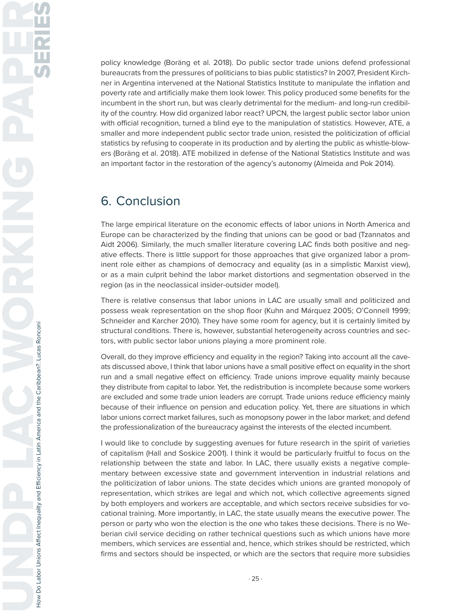policy knowledge (Boräng et al. 2018). Do public sector trade unions defend professional bureaucrats from the pressures of politicians to bias public statistics? In 2007, President Kirchner in Argentina intervened at the National Statistics Institute to manipulate the inflation and poverty rate and artificially make them look lower. This policy produced some benefits for the incumbent in the short run, but was clearly detrimental for the medium- and long-run credibility of the country. How did organized labor react? UPCN, the largest public sector labor union with official recognition, turned a blind eye to the manipulation of statistics. However, ATE, a smaller and more independent public sector trade union, resisted the politicization of official statistics by refusing to cooperate in its production and by alerting the public as whistle-blowers (Boräng et al. 2018). ATE mobilized in defense of the National Statistics Institute and was an important factor in the restoration of the agency's autonomy (Almeida and Pok 2014).

## 6. Conclusion

The large empirical literature on the economic effects of labor unions in North America and Europe can be characterized by the finding that unions can be good or bad (Tzannatos and Aidt 2006). Similarly, the much smaller literature covering LAC finds both positive and negative effects. There is little support for those approaches that give organized labor a prominent role either as champions of democracy and equality (as in a simplistic Marxist view), or as a main culprit behind the labor market distortions and segmentation observed in the region (as in the neoclassical insider-outsider model).

There is relative consensus that labor unions in LAC are usually small and politicized and possess weak representation on the shop floor (Kuhn and Márquez 2005; O'Connell 1999; Schneider and Karcher 2010). They have some room for agency, but it is certainly limited by structural conditions. There is, however, substantial heterogeneity across countries and sectors, with public sector labor unions playing a more prominent role.

Overall, do they improve efficiency and equality in the region? Taking into account all the caveats discussed above, I think that labor unions have a small positive effect on equality in the short run and a small negative effect on efficiency. Trade unions improve equality mainly because they distribute from capital to labor. Yet, the redistribution is incomplete because some workers are excluded and some trade union leaders are corrupt. Trade unions reduce efficiency mainly because of their influence on pension and education policy. Yet, there are situations in which labor unions correct market failures, such as monopsony power in the labor market; and defend the professionalization of the bureaucracy against the interests of the elected incumbent.

I would like to conclude by suggesting avenues for future research in the spirit of varieties of capitalism (Hall and Soskice 2001). I think it would be particularly fruitful to focus on the relationship between the state and labor. In LAC, there usually exists a negative complementary between excessive state and government intervention in industrial relations and the politicization of labor unions. The state decides which unions are granted monopoly of representation, which strikes are legal and which not, which collective agreements signed by both employers and workers are acceptable, and which sectors receive subsidies for vocational training. More importantly, in LAC, the state usually means the executive power. The person or party who won the election is the one who takes these decisions. There is no Weberian civil service deciding on rather technical questions such as which unions have more members, which services are essential and, hence, which strikes should be restricted, which firms and sectors should be inspected, or which are the sectors that require more subsidies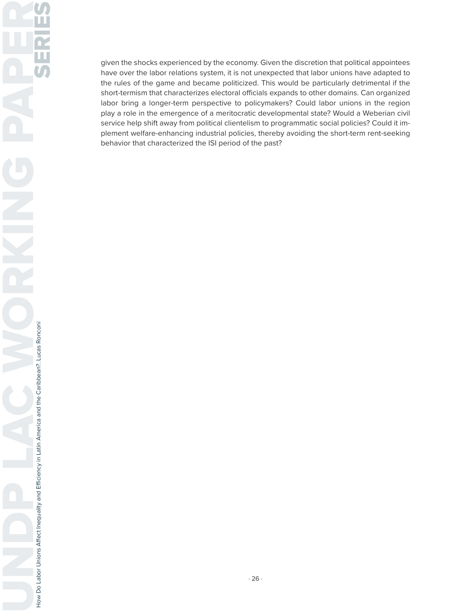given the shocks experienced by the economy. Given the discretion that political appointees have over the labor relations system, it is not unexpected that labor unions have adapted to the rules of the game and became politicized. This would be particularly detrimental if the short-termism that characterizes electoral officials expands to other domains. Can organized labor bring a longer-term perspective to policymakers? Could labor unions in the region play a role in the emergence of a meritocratic developmental state? Would a Weberian civil service help shift away from political clientelism to programmatic social policies? Could it implement welfare-enhancing industrial policies, thereby avoiding the short-term rent-seeking behavior that characterized the ISI period of the past?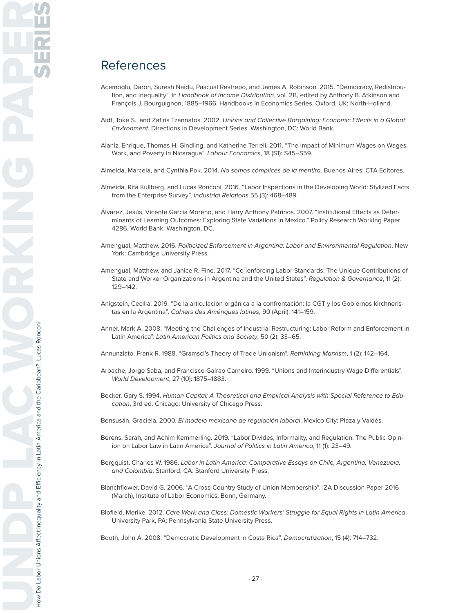### References

- Acemoglu, Daron, Suresh Naidu, Pascual Restrepo, and James A. Robinson. 2015. "Democracy, Redistribution, and Inequality". In Handbook of Income Distribution, vol. 2B, edited by Anthony B. Atkinson and François J. Bourguignon, 1885–1966. Handbooks in Economics Series. Oxford, UK: North-Holland.
- Aidt, Toke S., and Zafiris Tzannatos. 2002. Unions and Collective Bargaining: Economic Effects in a Global Environment. Directions in Development Series. Washington, DC: World Bank.
- Alaniz, Enrique, Thomas H. Gindling, and Katherine Terrell. 2011. "The Impact of Minimum Wages on Wages, Work, and Poverty in Nicaragua". Labour Economics, 18 (S1): S45–S59.
- Almeida, Marcela, and Cynthia Pok. 2014. No somos cómplices de la mentira. Buenos Aires: CTA Editores.
- Almeida, Rita Kullberg, and Lucas Ronconi. 2016. "Labor Inspections in the Developing World: Stylized Facts from the Enterprise Survey". Industrial Relations 55 (3): 468–489.
- Álvarez, Jesús, Vicente García Moreno, and Harry Anthony Patrinos. 2007. "Institutional Effects as Determinants of Learning Outcomes: Exploring State Variations in Mexico." Policy Research Working Paper 4286, World Bank, Washington, DC.
- Amengual, Matthew. 2016. Politicized Enforcement in Argentina: Labor and Environmental Regulation. New York: Cambridge University Press.
- Amengual, Matthew, and Janice R. Fine. 2017. "Co enforcing Labor Standards: The Unique Contributions of State and Worker Organizations in Argentina and the United States". Regulation & Governance, 11 (2): 129–142.
- Anigstein, Cecilia. 2019. "De la articulación orgánica a la confrontación: la CGT y los Gobiernos kirchneristas en la Argentina". Cahiers des Amériques latines, 90 (April): 141–159.
- Anner, Mark A. 2008. "Meeting the Challenges of Industrial Restructuring: Labor Reform and Enforcement in Latin America". Latin American Politics and Society, 50 (2): 33–65.

Annunziato, Frank R. 1988. "Gramsci's Theory of Trade Unionism". Rethinking Marxism, 1 (2): 142-164.

- Arbache, Jorge Saba, and Francisco Galrao Carneiro. 1999. "Unions and Interindustry Wage Differentials". World Development, 27 (10): 1875–1883.
- Becker, Gary S. 1994. Human Capital: A Theoretical and Empirical Analysis with Special Reference to Education, 3rd ed. Chicago: University of Chicago Press.
- Bensusán, Graciela. 2000. El modelo mexicano de regulación laboral. Mexico City: Plaza y Valdés.
- Berens, Sarah, and Achim Kemmerling. 2019. "Labor Divides, Informality, and Regulation: The Public Opinion on Labor Law in Latin America". Journal of Politics in Latin America, 11 (1): 23–49.
- Bergquist, Charles W. 1986. Labor in Latin America: Comparative Essays on Chile, Argentina, Venezuela, and Colombia. Stanford, CA: Stanford University Press.
- Blanchflower, David G. 2006. "A Cross-Country Study of Union Membership". IZA Discussion Paper 2016 (March), Institute of Labor Economics, Bonn, Germany.
- Blofield, Merike. 2012. Care Work and Class: Domestic Workers' Struggle for Equal Rights in Latin America. University Park, PA: Pennsylvania State University Press.

Booth, John A. 2008. "Democratic Development in Costa Rica". Democratization, 15 (4): 714–732.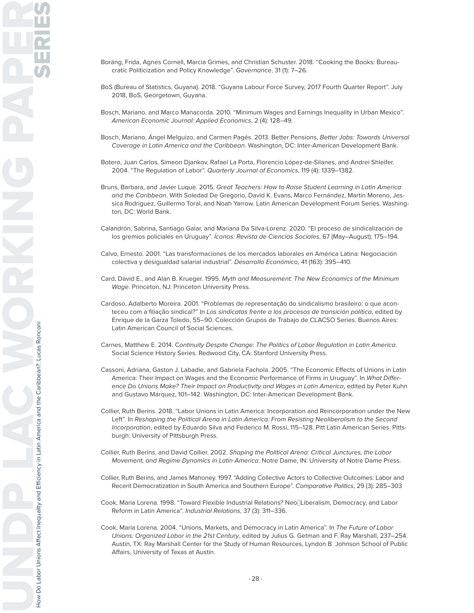- Boräng, Frida, Agnes Cornell, Marcia Grimes, and Christian Schuster. 2018. "Cooking the Books: Bureaucratic Politicization and Policy Knowledge". Governance, 31 (1): 7–26.
- BoS (Bureau of Statistics, Guyana). 2018. "Guyana Labour Force Survey, 2017 Fourth Quarter Report". July 2018, BoS, Georgetown, Guyana.
- Bosch, Mariano, and Marco Manacorda. 2010. "Minimum Wages and Earnings Inequality in Urban Mexico". American Economic Journal: Applied Economics, 2 (4): 128–49.
- Bosch, Mariano, Ángel Melguizo, and Carmen Pagés. 2013. Better Pensions, Better Jobs: Towards Universal Coverage in Latin America and the Caribbean. Washington, DC: Inter-American Development Bank.
- Botero, Juan Carlos, Simeon Djankov, Rafael La Porta, Florencio López-de-Silanes, and Andrei Shleifer. 2004. "The Regulation of Labor". Quarterly Journal of Economics, 119 (4): 1339–1382.
- Bruns, Barbara, and Javier Luque. 2015. Great Teachers: How to Raise Student Learning in Latin America and the Caribbean. With Soledad De Gregorio, David K. Evans, Marco Fernández, Martin Moreno, Jessica Rodriguez, Guillermo Toral, and Noah Yarrow. Latin American Development Forum Series. Washington, DC: World Bank.
- Calandrón, Sabrina, Santiago Galar, and Mariana Da Silva-Lorenz. 2020. "El proceso de sindicalización de los gremios policiales en Uruguay". Íconos: Revista de Ciencias Sociales, 67 (May–August): 175–194.
- Calvo, Ernesto. 2001. "Las transformaciones de los mercados laborales en América Latina: Negociación colectiva y desigualdad salarial industrial". Desarrollo Económico, 41 (163): 395–410.
- Card, David E., and Alan B. Krueger. 1995. Myth and Measurement: The New Economics of the Minimum Wage. Princeton, NJ: Princeton University Press.
- Cardoso, Adalberto Moreira. 2001. "Problemas de representação do sindicalismo brasileiro: o que aconteceu com a filiação sindical?" In Los sindicatos frente a los procesos de transición política, edited by Enrique de la Garza Toledo, 55–90. Colección Grupos de Trabajo de CLACSO Series. Buenos Aires: Latin American Council of Social Sciences.
- Carnes, Matthew E. 2014. Continuity Despite Change: The Politics of Labor Regulation in Latin America. Social Science History Series. Redwood City, CA: Stanford University Press.
- Cassoni, Adriana, Gaston J. Labadie, and Gabriela Fachola. 2005. "The Economic Effects of Unions in Latin America: Their Impact on Wages and the Economic Performance of Firms in Uruguay". In What Difference Do Unions Make? Their Impact on Productivity and Wages in Latin America, edited by Peter Kuhn and Gustavo Márquez, 101–142. Washington, DC: Inter-American Development Bank.
- Collier, Ruth Berins. 2018. "Labor Unions in Latin America: Incorporation and Reincorporation under the New Left". In Reshaping the Political Arena in Latin America: From Resisting Neoliberalism to the Second Incorporation, edited by Eduardo Silva and Federico M. Rossi, 115–128. Pitt Latin American Series. Pittsburgh: University of Pittsburgh Press.
- Collier, Ruth Berins, and David Collier. 2002. Shaping the Political Arena: Critical Junctures, the Labor Movement, and Regime Dynamics in Latin America. Notre Dame, IN: University of Notre Dame Press.
- Collier, Ruth Berins, and James Mahoney. 1997. "Adding Collective Actors to Collective Outcomes: Labor and Recent Democratization in South America and Southern Europe". Comparative Politics, 29 (3): 285-303
- Cook, Maria Lorena. 1998. "Toward Flexible Industrial Relations? Neo‐Liberalism, Democracy, and Labor Reform in Latin America". Industrial Relations, 37 (3): 311–336.
- Cook, Maria Lorena. 2004. "Unions, Markets, and Democracy in Latin America". In The Future of Labor Unions: Organized Labor in the 21st Century, edited by Julius G. Getman and F. Ray Marshall, 237-254. Austin, TX: Ray Marshall Center for the Study of Human Resources, Lyndon B. Johnson School of Public Affairs, University of Texas at Austin.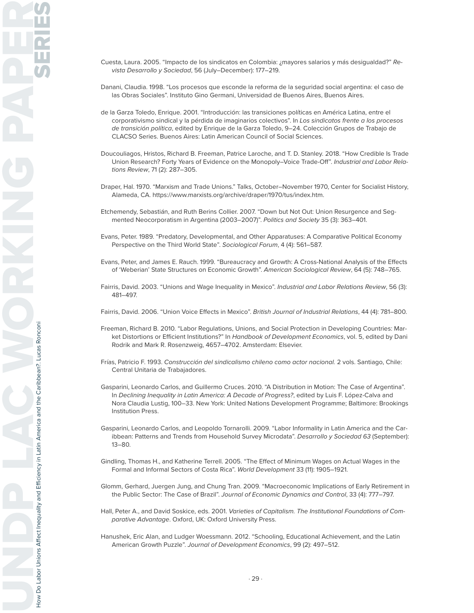- Cuesta, Laura. 2005. "Impacto de los sindicatos en Colombia: ¿mayores salarios y más desigualdad?" Revista Desarrollo y Sociedad, 56 (July–December): 177–219.
- Danani, Claudia. 1998. "Los procesos que esconde la reforma de la seguridad social argentina: el caso de las Obras Sociales". Instituto Gino Germani, Universidad de Buenos Aires, Buenos Aires.
- de la Garza Toledo, Enrique. 2001. "Introducción: las transiciones políticas en América Latina, entre el corporativismo sindical y la pérdida de imaginarios colectivos". In Los sindicatos frente a los procesos de transición política, edited by Enrique de la Garza Toledo, 9–24. Colección Grupos de Trabajo de CLACSO Series. Buenos Aires: Latin American Council of Social Sciences.
- Doucouliagos, Hristos, Richard B. Freeman, Patrice Laroche, and T. D. Stanley. 2018. "How Credible Is Trade Union Research? Forty Years of Evidence on the Monopoly–Voice Trade-Off". Industrial and Labor Relations Review, 71 (2): 287–305.
- Draper, Hal. 1970. "Marxism and Trade Unions." Talks, October–November 1970, Center for Socialist History, Alameda, CA. https://www.marxists.org/archive/draper/1970/tus/index.htm.
- Etchemendy, Sebastián, and Ruth Berins Collier. 2007. "Down but Not Out: Union Resurgence and Segmented Neocorporatism in Argentina (2003–2007)". Politics and Society 35 (3): 363–401.
- Evans, Peter. 1989. "Predatory, Developmental, and Other Apparatuses: A Comparative Political Economy Perspective on the Third World State". Sociological Forum, 4 (4): 561–587.
- Evans, Peter, and James E. Rauch. 1999. "Bureaucracy and Growth: A Cross-National Analysis of the Effects of 'Weberian' State Structures on Economic Growth". American Sociological Review, 64 (5): 748–765.
- Fairris, David. 2003. "Unions and Wage Inequality in Mexico". Industrial and Labor Relations Review, 56 (3): 481–497.
- Fairris, David. 2006. "Union Voice Effects in Mexico". British Journal of Industrial Relations, 44 (4): 781–800.
- Freeman, Richard B. 2010. "Labor Regulations, Unions, and Social Protection in Developing Countries: Market Distortions or Efficient Institutions?" In Handbook of Development Economics, vol. 5, edited by Dani Rodrik and Mark R. Rosenzweig, 4657–4702. Amsterdam: Elsevier.
- Frías, Patricio F. 1993. Construcción del sindicalismo chileno como actor nacional. 2 vols. Santiago, Chile: Central Unitaria de Trabajadores.
- Gasparini, Leonardo Carlos, and Guillermo Cruces. 2010. "A Distribution in Motion: The Case of Argentina". In Declining Inequality in Latin America: A Decade of Progress?, edited by Luis F. López-Calva and Nora Claudia Lustig, 100–33. New York: United Nations Development Programme; Baltimore: Brookings Institution Press.
- Gasparini, Leonardo Carlos, and Leopoldo Tornarolli. 2009. "Labor Informality in Latin America and the Caribbean: Patterns and Trends from Household Survey Microdata". Desarrollo y Sociedad 63 (September): 13–80.
- Gindling, Thomas H., and Katherine Terrell. 2005. "The Effect of Minimum Wages on Actual Wages in the Formal and Informal Sectors of Costa Rica". World Development 33 (11): 1905–1921.
- Glomm, Gerhard, Juergen Jung, and Chung Tran. 2009. "Macroeconomic Implications of Early Retirement in the Public Sector: The Case of Brazil". Journal of Economic Dynamics and Control, 33 (4): 777–797.
- Hall, Peter A., and David Soskice, eds. 2001. Varieties of Capitalism. The Institutional Foundations of Comparative Advantage. Oxford, UK: Oxford University Press.
- Hanushek, Eric Alan, and Ludger Woessmann. 2012. "Schooling, Educational Achievement, and the Latin American Growth Puzzle". Journal of Development Economics, 99 (2): 497–512.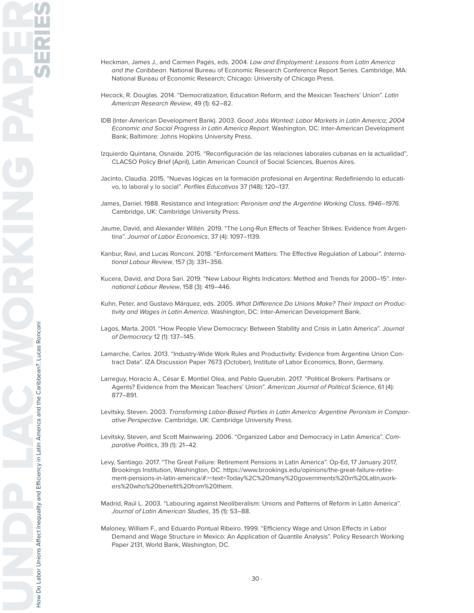- Heckman, James J., and Carmen Pagés, eds. 2004. Law and Employment: Lessons from Latin America and the Caribbean. National Bureau of Economic Research Conference Report Series. Cambridge, MA: National Bureau of Economic Research; Chicago: University of Chicago Press.
- Hecock, R. Douglas. 2014. "Democratization, Education Reform, and the Mexican Teachers' Union". Latin American Research Review, 49 (1): 62–82.
- IDB (Inter-American Development Bank). 2003. Good Jobs Wanted: Labor Markets in Latin America; 2004 Economic and Social Progress in Latin America Report. Washington, DC: Inter-American Development Bank; Baltimore: Johns Hopkins University Press.
- Izquierdo Quintana, Osnaide. 2015. "Reconfiguración de las relaciones laborales cubanas en la actualidad", CLACSO Policy Brief (April), Latin American Council of Social Sciences, Buenos Aires.
- Jacinto, Claudia. 2015. "Nuevas lógicas en la formación profesional en Argentina: Redefiniendo lo educativo, lo laboral y lo social". Perfiles Educativos 37 (148): 120–137.
- James, Daniel. 1988. Resistance and Integration: Peronism and the Argentine Working Class, 1946-1976. Cambridge, UK: Cambridge University Press.
- Jaume, David, and Alexander Willén. 2019. "The Long-Run Effects of Teacher Strikes: Evidence from Argentina". Journal of Labor Economics, 37 (4): 1097–1139.
- Kanbur, Ravi, and Lucas Ronconi. 2018. "Enforcement Matters: The Effective Regulation of Labour". International Labour Review, 157 (3): 331–356.
- Kucera, David, and Dora Sari. 2019. "New Labour Rights Indicators: Method and Trends for 2000–15". International Labour Review, 158 (3): 419–446.
- Kuhn, Peter, and Gustavo Márquez, eds. 2005. What Difference Do Unions Make? Their Impact on Productivity and Wages in Latin America. Washington, DC: Inter-American Development Bank.
- Lagos, Marta. 2001. "How People View Democracy: Between Stability and Crisis in Latin America". Journal of Democracy 12 (1): 137–145.
- Lamarche, Carlos. 2013. "Industry-Wide Work Rules and Productivity: Evidence from Argentine Union Contract Data". IZA Discussion Paper 7673 (October), Institute of Labor Economics, Bonn, Germany.
- Larreguy, Horacio A., César E. Montiel Olea, and Pablo Querubin. 2017. "Political Brokers: Partisans or Agents? Evidence from the Mexican Teachers' Union". American Journal of Political Science, 61 (4): 877–891.
- Levitsky, Steven. 2003. Transforming Labor-Based Parties in Latin America: Argentine Peronism in Comparative Perspective. Cambridge, UK: Cambridge University Press.
- Levitsky, Steven, and Scott Mainwaring. 2006. "Organized Labor and Democracy in Latin America". Comparative Politics, 39 (1): 21–42.
- Levy, Santiago. 2017. "The Great Failure: Retirement Pensions in Latin America". Op-Ed, 17 January 2017, Brookings Institution, Washington, DC. https://www.brookings.edu/opinions/the-great-failure-retirement-pensions-in-latin-america/#:~:text=Today%2C%20many%20governments%20in%20Latin,workers%20who%20benefit%20from%20them.
- Madrid, Raúl L. 2003. "Labouring against Neoliberalism: Unions and Patterns of Reform in Latin America". Journal of Latin American Studies, 35 (1): 53–88.
- Maloney, William F., and Eduardo Pontual Ribeiro. 1999. "Efficiency Wage and Union Effects in Labor Demand and Wage Structure in Mexico: An Application of Quantile Analysis". Policy Research Working Paper 2131, World Bank, Washington, DC.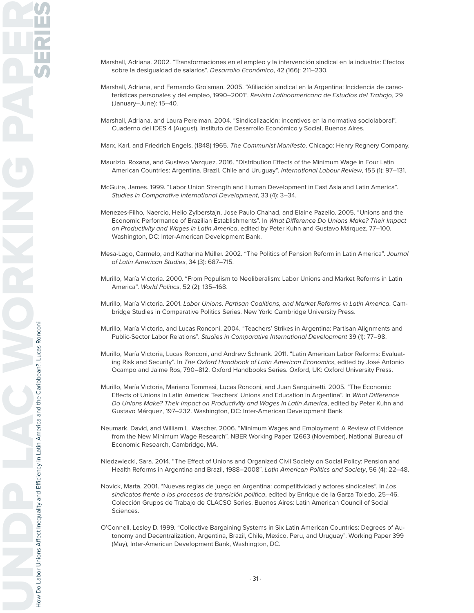- Marshall, Adriana. 2002. "Transformaciones en el empleo y la intervención sindical en la industria: Efectos sobre la desigualdad de salarios". Desarrollo Económico, 42 (166): 211–230.
- Marshall, Adriana, and Fernando Groisman. 2005. "Afiliación sindical en la Argentina: Incidencia de características personales y del empleo, 1990–2001". Revista Latinoamericana de Estudios del Trabajo, 29 (January–June): 15–40.
- Marshall, Adriana, and Laura Perelman. 2004. "Sindicalización: incentivos en la normativa sociolaboral". Cuaderno del IDES 4 (August), Instituto de Desarrollo Económico y Social, Buenos Aires.

Marx, Karl, and Friedrich Engels. (1848) 1965. The Communist Manifesto. Chicago: Henry Regnery Company.

- Maurizio, Roxana, and Gustavo Vazquez. 2016. "Distribution Effects of the Minimum Wage in Four Latin American Countries: Argentina, Brazil, Chile and Uruguay". International Labour Review, 155 (1): 97-131.
- McGuire, James. 1999. "Labor Union Strength and Human Development in East Asia and Latin America". Studies in Comparative International Development, 33 (4): 3–34.
- Menezes-Filho, Naercio, Helio Zylberstajn, Jose Paulo Chahad, and Elaine Pazello. 2005. "Unions and the Economic Performance of Brazilian Establishments". In What Difference Do Unions Make? Their Impact on Productivity and Wages in Latin America, edited by Peter Kuhn and Gustavo Márquez, 77-100. Washington, DC: Inter-American Development Bank.
- Mesa-Lago, Carmelo, and Katharina Müller. 2002. "The Politics of Pension Reform in Latin America". Journal of Latin American Studies, 34 (3): 687–715.
- Murillo, María Victoria. 2000. "From Populism to Neoliberalism: Labor Unions and Market Reforms in Latin America". World Politics, 52 (2): 135–168.
- Murillo, María Victoria. 2001. Labor Unions, Partisan Coalitions, and Market Reforms in Latin America. Cambridge Studies in Comparative Politics Series. New York: Cambridge University Press.
- Murillo, María Victoria, and Lucas Ronconi. 2004. "Teachers' Strikes in Argentina: Partisan Alignments and Public-Sector Labor Relations". Studies in Comparative International Development 39 (1): 77–98.
- Murillo, María Victoria, Lucas Ronconi, and Andrew Schrank. 2011. "Latin American Labor Reforms: Evaluating Risk and Security". In The Oxford Handbook of Latin American Economics, edited by José Antonio Ocampo and Jaime Ros, 790–812. Oxford Handbooks Series. Oxford, UK: Oxford University Press.
- Murillo, María Victoria, Mariano Tommasi, Lucas Ronconi, and Juan Sanguinetti. 2005. "The Economic Effects of Unions in Latin America: Teachers' Unions and Education in Argentina". In What Difference Do Unions Make? Their Impact on Productivity and Wages in Latin America, edited by Peter Kuhn and Gustavo Márquez, 197–232. Washington, DC: Inter-American Development Bank.
- Neumark, David, and William L. Wascher. 2006. "Minimum Wages and Employment: A Review of Evidence from the New Minimum Wage Research". NBER Working Paper 12663 (November), National Bureau of Economic Research, Cambridge, MA.
- Niedzwiecki, Sara. 2014. "The Effect of Unions and Organized Civil Society on Social Policy: Pension and Health Reforms in Argentina and Brazil, 1988–2008". Latin American Politics and Society, 56 (4): 22–48.
- Novick, Marta. 2001. "Nuevas reglas de juego en Argentina: competitividad y actores sindicales". In Los sindicatos frente a los procesos de transición política, edited by Enrique de la Garza Toledo, 25–46. Colección Grupos de Trabajo de CLACSO Series. Buenos Aires: Latin American Council of Social Sciences.
- O'Connell, Lesley D. 1999. "Collective Bargaining Systems in Six Latin American Countries: Degrees of Autonomy and Decentralization, Argentina, Brazil, Chile, Mexico, Peru, and Uruguay". Working Paper 399 (May), Inter-American Development Bank, Washington, DC.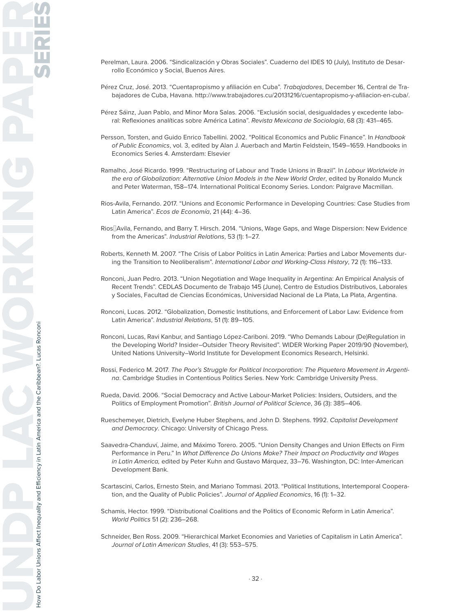- Perelman, Laura. 2006. "Sindicalización y Obras Sociales". Cuaderno del IDES 10 (July), Instituto de Desarrollo Económico y Social, Buenos Aires.
- Pérez Cruz, José. 2013. "Cuentapropismo y afiliación en Cuba". Trabajadores, December 16, Central de Trabajadores de Cuba, Havana. http://www.trabajadores.cu/20131216/cuentapropismo-y-afiliacion-en-cuba/.
- Pérez Sáinz, Juan Pablo, and Minor Mora Salas. 2006. "Exclusión social, desigualdades y excedente laboral: Reflexiones analíticas sobre América Latina". Revista Mexicana de Sociología, 68 (3): 431–465.
- Persson, Torsten, and Guido Enrico Tabellini. 2002. "Political Economics and Public Finance". In Handbook of Public Economics, vol. 3, edited by Alan J. Auerbach and Martin Feldstein, 1549–1659. Handbooks in Economics Series 4. Amsterdam: Elsevier
- Ramalho, José Ricardo. 1999. "Restructuring of Labour and Trade Unions in Brazil". In Labour Worldwide in the era of Globalization: Alternative Union Models in the New World Order, edited by Ronaldo Munck and Peter Waterman, 158–174. International Political Economy Series. London: Palgrave Macmillan.
- Rios-Avila, Fernando. 2017. "Unions and Economic Performance in Developing Countries: Case Studies from Latin America". Ecos de Economía, 21 (44): 4-36.
- Rios‐Avila, Fernando, and Barry T. Hirsch. 2014. "Unions, Wage Gaps, and Wage Dispersion: New Evidence from the Americas". Industrial Relations, 53 (1): 1–27.
- Roberts, Kenneth M. 2007. "The Crisis of Labor Politics in Latin America: Parties and Labor Movements during the Transition to Neoliberalism". International Labor and Working-Class History, 72 (1): 116–133.
- Ronconi, Juan Pedro. 2013. "Union Negotiation and Wage Inequality in Argentina: An Empirical Analysis of Recent Trends". CEDLAS Documento de Trabajo 145 (June), Centro de Estudios Distributivos, Laborales y Sociales, Facultad de Ciencias Económicas, Universidad Nacional de La Plata, La Plata, Argentina.
- Ronconi, Lucas. 2012. "Globalization, Domestic Institutions, and Enforcement of Labor Law: Evidence from Latin America". Industrial Relations, 51 (1): 89–105.
- Ronconi, Lucas, Ravi Kanbur, and Santiago López-Cariboni. 2019. "Who Demands Labour (De)Regulation in the Developing World? Insider–Outsider Theory Revisited". WIDER Working Paper 2019/90 (November), United Nations University–World Institute for Development Economics Research, Helsinki.
- Rossi, Federico M. 2017. The Poor's Struggle for Political Incorporation: The Piquetero Movement in Argentina. Cambridge Studies in Contentious Politics Series. New York: Cambridge University Press.
- Rueda, David. 2006. "Social Democracy and Active Labour-Market Policies: Insiders, Outsiders, and the Politics of Employment Promotion". British Journal of Political Science, 36 (3): 385–406.
- Rueschemeyer, Dietrich, Evelyne Huber Stephens, and John D. Stephens. 1992. Capitalist Development and Democracy. Chicago: University of Chicago Press.
- Saavedra-Chanduví, Jaime, and Máximo Torero. 2005. "Union Density Changes and Union Effects on Firm Performance in Peru." In What Difference Do Unions Make? Their Impact on Productivity and Wages in Latin America, edited by Peter Kuhn and Gustavo Márquez, 33–76. Washington, DC: Inter-American Development Bank.
- Scartascini, Carlos, Ernesto Stein, and Mariano Tommasi. 2013. "Political Institutions, Intertemporal Cooperation, and the Quality of Public Policies". Journal of Applied Economics, 16 (1): 1–32.
- Schamis, Hector. 1999. "Distributional Coalitions and the Politics of Economic Reform in Latin America". World Politics 51 (2): 236–268.
- Schneider, Ben Ross. 2009. "Hierarchical Market Economies and Varieties of Capitalism in Latin America". Journal of Latin American Studies, 41 (3): 553–575.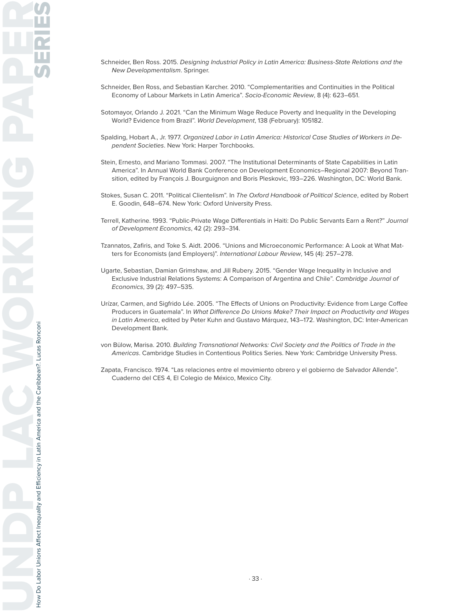- Schneider, Ben Ross. 2015. Designing Industrial Policy in Latin America: Business-State Relations and the New Developmentalism. Springer.
- Schneider, Ben Ross, and Sebastian Karcher. 2010. "Complementarities and Continuities in the Political Economy of Labour Markets in Latin America". Socio-Economic Review, 8 (4): 623–651.
- Sotomayor, Orlando J. 2021. "Can the Minimum Wage Reduce Poverty and Inequality in the Developing World? Evidence from Brazil". World Development, 138 (February): 105182.
- Spalding, Hobart A., Jr. 1977. Organized Labor in Latin America: Historical Case Studies of Workers in Dependent Societies. New York: Harper Torchbooks.
- Stein, Ernesto, and Mariano Tommasi. 2007. "The Institutional Determinants of State Capabilities in Latin America". In Annual World Bank Conference on Development Economics–Regional 2007: Beyond Transition, edited by François J. Bourguignon and Boris Pleskovic, 193–226. Washington, DC: World Bank.
- Stokes, Susan C. 2011. "Political Clientelism". In The Oxford Handbook of Political Science, edited by Robert E. Goodin, 648–674. New York: Oxford University Press.
- Terrell, Katherine. 1993. "Public-Private Wage Differentials in Haiti: Do Public Servants Earn a Rent?" Journal of Development Economics, 42 (2): 293–314.
- Tzannatos, Zafiris, and Toke S. Aidt. 2006. "Unions and Microeconomic Performance: A Look at What Matters for Economists (and Employers)". International Labour Review, 145 (4): 257–278.
- Ugarte, Sebastian, Damian Grimshaw, and Jill Rubery. 2015. "Gender Wage Inequality in Inclusive and Exclusive Industrial Relations Systems: A Comparison of Argentina and Chile". Cambridge Journal of Economics, 39 (2): 497–535.
- Urízar, Carmen, and Sigfrido Lée. 2005. "The Effects of Unions on Productivity: Evidence from Large Coffee Producers in Guatemala". In What Difference Do Unions Make? Their Impact on Productivity and Wages in Latin America, edited by Peter Kuhn and Gustavo Márquez, 143–172. Washington, DC: Inter-American Development Bank.
- von Bülow, Marisa. 2010. Building Transnational Networks: Civil Society and the Politics of Trade in the Americas. Cambridge Studies in Contentious Politics Series. New York: Cambridge University Press.
- Zapata, Francisco. 1974. "Las relaciones entre el movimiento obrero y el gobierno de Salvador Allende". Cuaderno del CES 4, El Colegio de México, Mexico City.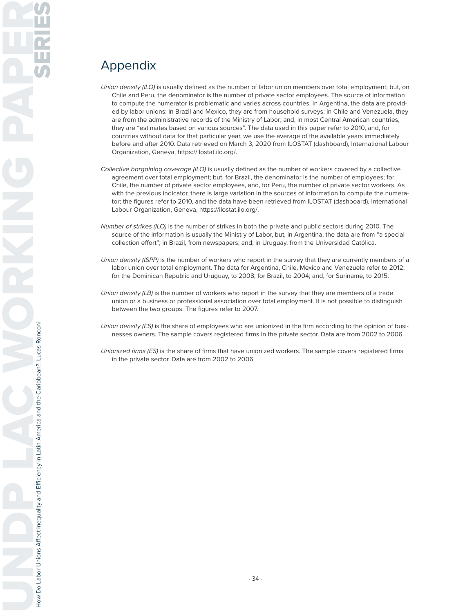# Appendix

- Union density (ILO) is usually defined as the number of labor union members over total employment; but, on Chile and Peru, the denominator is the number of private sector employees. The source of information to compute the numerator is problematic and varies across countries. In Argentina, the data are provided by labor unions; in Brazil and Mexico, they are from household surveys; in Chile and Venezuela, they are from the administrative records of the Ministry of Labor; and, in most Central American countries, they are "estimates based on various sources". The data used in this paper refer to 2010, and, for countries without data for that particular year, we use the average of the available years immediately before and after 2010. Data retrieved on March 3, 2020 from ILOSTAT (dashboard), International Labour Organization, Geneva, https://ilostat.ilo.org/.
- Collective bargaining coverage (ILO) is usually defined as the number of workers covered by a collective agreement over total employment; but, for Brazil, the denominator is the number of employees; for Chile, the number of private sector employees, and, for Peru, the number of private sector workers. As with the previous indicator, there is large variation in the sources of information to compute the numerator; the figures refer to 2010, and the data have been retrieved from ILOSTAT (dashboard), International Labour Organization, Geneva, https://ilostat.ilo.org/.
- Number of strikes (ILO) is the number of strikes in both the private and public sectors during 2010. The source of the information is usually the Ministry of Labor, but, in Argentina, the data are from "a special collection effort"; in Brazil, from newspapers, and, in Uruguay, from the Universidad Católica.
- Union density (ISPP) is the number of workers who report in the survey that they are currently members of a labor union over total employment. The data for Argentina, Chile, Mexico and Venezuela refer to 2012; for the Dominican Republic and Uruguay, to 2008; for Brazil, to 2004; and, for Suriname, to 2015.
- Union density (LB) is the number of workers who report in the survey that they are members of a trade union or a business or professional association over total employment. It is not possible to distinguish between the two groups. The figures refer to 2007.
- Union density (ES) is the share of employees who are unionized in the firm according to the opinion of businesses owners. The sample covers registered firms in the private sector. Data are from 2002 to 2006.
- Unionized firms (ES) is the share of firms that have unionized workers. The sample covers registered firms in the private sector. Data are from 2002 to 2006.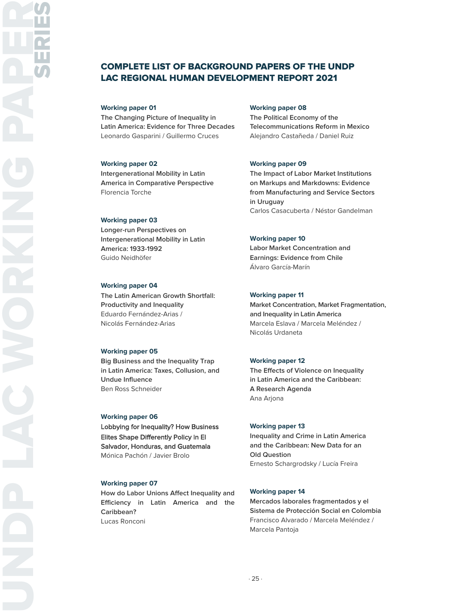### COMPLETE LIST OF BACKGROUND PAPERS OF THE UNDP LAC REGIONAL HUMAN DEVELOPMENT REPORT 2021

#### **Working paper 01**

**The Changing Picture of Inequality in Latin America: Evidence for Three Decades** Leonardo Gasparini / Guillermo Cruces

#### **Working paper 02**

**Intergenerational Mobility in Latin America in Comparative Perspective** Florencia Torche

#### **Working paper 03**

**Longer-run Perspectives on Intergenerational Mobility in Latin America: 1933-1992** Guido Neidhöfer

#### **Working paper 04**

**The Latin American Growth Shortfall: Productivity and Inequality** Eduardo Fernández-Arias / Nicolás Fernández-Arias

#### **Working paper 05**

**Big Business and the Inequality Trap in Latin America: Taxes, Collusion, and Undue Influence** Ben Ross Schneider

#### **Working paper 06**

Lobbying for Inequality? How Business Elites Shape Differently Policy in El Salvador, Honduras, and Guatemala Mónica Pachón / Javier Brolo

#### **Working paper 07**

**How do Labor Unions Affect Inequality and Efficiency in Latin America and the Caribbean?** Lucas Ronconi

#### **Working paper 08**

**The Political Economy of the Telecommunications Reform in Mexico** Alejandro Castañeda / Daniel Ruiz

#### **Working paper 09**

**The Impact of Labor Market Institutions on Markups and Markdowns: Evidence from Manufacturing and Service Sectors in Uruguay**  Carlos Casacuberta / Néstor Gandelman

#### **Working paper 10**

**Labor Market Concentration and Earnings: Evidence from Chile** Álvaro García-Marín

#### **Working paper 11**

**Market Concentration, Market Fragmentation, and Inequality in Latin America** Marcela Eslava / Marcela Meléndez / Nicolás Urdaneta

#### **Working paper 12**

**The Effects of Violence on Inequality in Latin America and the Caribbean: A Research Agenda** Ana Arjona

#### **Working paper 13**

**Inequality and Crime in Latin America and the Caribbean: New Data for an Old Question** Ernesto Schargrodsky / Lucía Freira

#### **Working paper 14**

**Mercados laborales fragmentados y el Sistema de Protección Social en Colombia** Francisco Alvarado / Marcela Meléndez / Marcela Pantoja